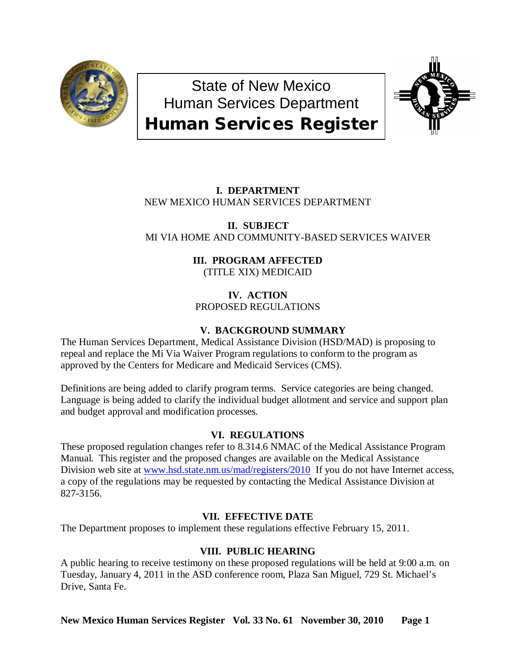

State of New Mexico Human Services Department Human Services Register



# **I. DEPARTMENT** NEW MEXICO HUMAN SERVICES DEPARTMENT

**II. SUBJECT** MI VIA HOME AND COMMUNITY-BASED SERVICES WAIVER

# **III. PROGRAM AFFECTED**

(TITLE XIX) MEDICAID

# **IV. ACTION** PROPOSED REGULATIONS

# **V. BACKGROUND SUMMARY**

The Human Services Department, Medical Assistance Division (HSD/MAD) is proposing to repeal and replace the Mi Via Waiver Program regulations to conform to the program as approved by the Centers for Medicare and Medicaid Services (CMS).

Definitions are being added to clarify program terms. Service categories are being changed. Language is being added to clarify the individual budget allotment and service and support plan and budget approval and modification processes.

# **VI. REGULATIONS**

These proposed regulation changes refer to 8.314.6 NMAC of the Medical Assistance Program Manual. This register and the proposed changes are available on the Medical Assistance Division web site at [www.hsd.state.nm.us/mad/registers/2010](http://www.hsd.state.nm.us/mad/registers/2010) If you do not have Internet access, a copy of the regulations may be requested by contacting the Medical Assistance Division at 827-3156.

# **VII. EFFECTIVE DATE**

The Department proposes to implement these regulations effective February 15, 2011.

# **VIII. PUBLIC HEARING**

A public hearing to receive testimony on these proposed regulations will be held at 9:00 a.m. on Tuesday, January 4, 2011 in the ASD conference room, Plaza San Miguel, 729 St. Michael's Drive, Santa Fe.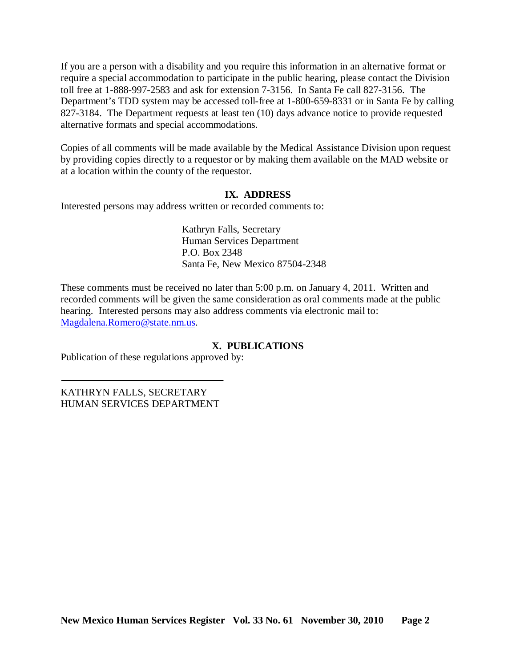If you are a person with a disability and you require this information in an alternative format or require a special accommodation to participate in the public hearing, please contact the Division toll free at 1-888-997-2583 and ask for extension 7-3156. In Santa Fe call 827-3156. The Department's TDD system may be accessed toll-free at 1-800-659-8331 or in Santa Fe by calling 827-3184. The Department requests at least ten (10) days advance notice to provide requested alternative formats and special accommodations.

Copies of all comments will be made available by the Medical Assistance Division upon request by providing copies directly to a requestor or by making them available on the MAD website or at a location within the county of the requestor.

## **IX. ADDRESS**

Interested persons may address written or recorded comments to:

Kathryn Falls, Secretary Human Services Department P.O. Box 2348 Santa Fe, New Mexico 87504-2348

These comments must be received no later than 5:00 p.m. on January 4, 2011. Written and recorded comments will be given the same consideration as oral comments made at the public hearing. Interested persons may also address comments via electronic mail to: [Magdalena.Romero@state.nm.us.](mailto:Magdalena.Romero@state.nm.us)

## **X. PUBLICATIONS**

Publication of these regulations approved by:

KATHRYN FALLS, SECRETARY HUMAN SERVICES DEPARTMENT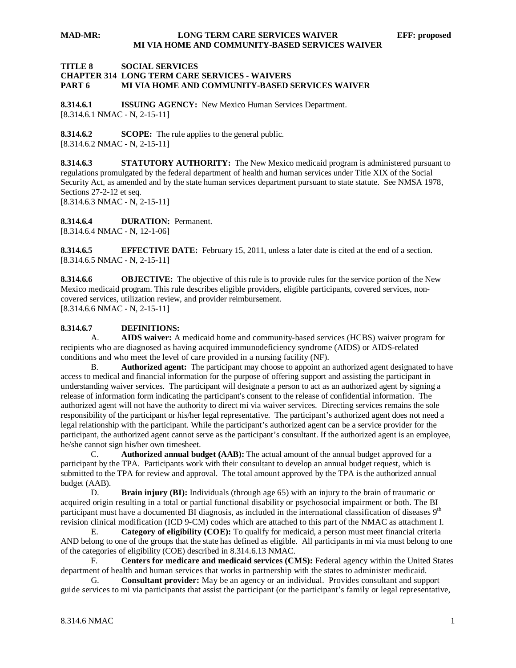#### **TITLE 8 SOCIAL SERVICES CHAPTER 314 LONG TERM CARE SERVICES - WAIVERS PART 6 MI VIA HOME AND COMMUNITY-BASED SERVICES WAIVER**

**8.314.6.1 ISSUING AGENCY:** New Mexico Human Services Department. [8.314.6.1 NMAC - N, 2-15-11]

**8.314.6.2 SCOPE:** The rule applies to the general public. [8.314.6.2 NMAC - N, 2-15-11]

**8.314.6.3 STATUTORY AUTHORITY:** The New Mexico medicaid program is administered pursuant to regulations promulgated by the federal department of health and human services under Title XIX of the Social Security Act, as amended and by the state human services department pursuant to state statute. See NMSA 1978, Sections 27-2-12 et seq. [8.314.6.3 NMAC - N, 2-15-11]

**8.314.6.4 DURATION:** Permanent. [8.314.6.4 NMAC - N, 12-1-06]

**8.314.6.5 EFFECTIVE DATE:** February 15, 2011, unless a later date is cited at the end of a section. [8.314.6.5 NMAC - N, 2-15-11]

**8.314.6.6 OBJECTIVE:** The objective of this rule is to provide rules for the service portion of the New Mexico medicaid program. This rule describes eligible providers, eligible participants, covered services, noncovered services, utilization review, and provider reimbursement. [8.314.6.6 NMAC - N, 2-15-11]

## **8.314.6.7 DEFINITIONS:**

A. **AIDS waiver:** A medicaid home and community-based services (HCBS) waiver program for recipients who are diagnosed as having acquired immunodeficiency syndrome (AIDS) or AIDS-related conditions and who meet the level of care provided in a nursing facility (NF).

B. **Authorized agent:** The participant may choose to appoint an authorized agent designated to have access to medical and financial information for the purpose of offering support and assisting the participant in understanding waiver services. The participant will designate a person to act as an authorized agent by signing a release of information form indicating the participant's consent to the release of confidential information. The authorized agent will not have the authority to direct mi via waiver services. Directing services remains the sole responsibility of the participant or his/her legal representative. The participant's authorized agent does not need a legal relationship with the participant. While the participant's authorized agent can be a service provider for the participant, the authorized agent cannot serve as the participant's consultant. If the authorized agent is an employee, he/she cannot sign his/her own timesheet.

C. **Authorized annual budget (AAB):** The actual amount of the annual budget approved for a participant by the TPA. Participants work with their consultant to develop an annual budget request, which is submitted to the TPA for review and approval. The total amount approved by the TPA is the authorized annual budget (AAB).

D. **Brain injury (BI):** Individuals (through age 65) with an injury to the brain of traumatic or acquired origin resulting in a total or partial functional disability or psychosocial impairment or both. The BI participant must have a documented BI diagnosis, as included in the international classification of diseases 9<sup>th</sup> revision clinical modification (ICD 9-CM) codes which are attached to this part of the NMAC as attachment I.

E. **Category of eligibility (COE):** To qualify for medicaid, a person must meet financial criteria AND belong to one of the groups that the state has defined as eligible. All participants in mi via must belong to one of the categories of eligibility (COE) described in 8.314.6.13 NMAC.

F. **Centers for medicare and medicaid services (CMS):** Federal agency within the United States department of health and human services that works in partnership with the states to administer medicaid.

G. **Consultant provider:** May be an agency or an individual. Provides consultant and support guide services to mi via participants that assist the participant (or the participant's family or legal representative,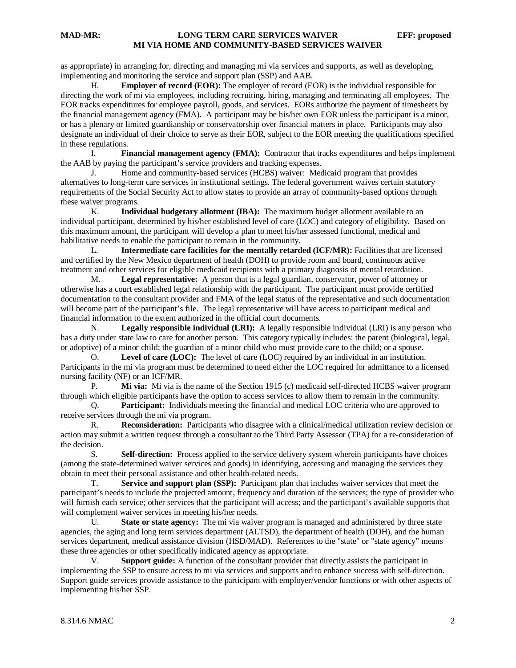as appropriate) in arranging for, directing and managing mi via services and supports, as well as developing, implementing and monitoring the service and support plan (SSP) and AAB.

H. **Employer of record (EOR):** The employer of record (EOR) is the individual responsible for directing the work of mi via employees, including recruiting, hiring, managing and terminating all employees. The EOR tracks expenditures for employee payroll, goods, and services. EORs authorize the payment of timesheets by the financial management agency (FMA). A participant may be his/her own EOR unless the participant is a minor, or has a plenary or limited guardianship or conservatorship over financial matters in place. Participants may also designate an individual of their choice to serve as their EOR, subject to the EOR meeting the qualifications specified in these regulations.

I. **Financial management agency (FMA):** Contractor that tracks expenditures and helps implement the AAB by paying the participant's service providers and tracking expenses.

J. Home and community-based services (HCBS) waiver: Medicaid program that provides alternatives to long-term care services in institutional settings. The federal government waives certain statutory requirements of the Social Security Act to allow states to provide an array of community-based options through these waiver programs.

K. **Individual budgetary allotment (IBA):** The maximum budget allotment available to an individual participant, determined by his/her established level of care (LOC) and category of eligibility. Based on this maximum amount, the participant will develop a plan to meet his/her assessed functional, medical and habilitative needs to enable the participant to remain in the community.

L. **Intermediate care facilities for the mentally retarded (ICF/MR):** Facilities that are licensed and certified by the New Mexico department of health (DOH) to provide room and board, continuous active treatment and other services for eligible medicaid recipients with a primary diagnosis of mental retardation.

M. **Legal representative:** A person that is a legal guardian, conservator, power of attorney or otherwise has a court established legal relationship with the participant. The participant must provide certified documentation to the consultant provider and FMA of the legal status of the representative and such documentation will become part of the participant's file. The legal representative will have access to participant medical and financial information to the extent authorized in the official court documents.

N. **Legally responsible individual (LRI):** A legally responsible individual (LRI) is any person who has a duty under state law to care for another person. This category typically includes: the parent (biological, legal, or adoptive) of a minor child; the guardian of a minor child who must provide care to the child; or a spouse.

O. **Level of care (LOC):** The level of care (LOC) required by an individual in an institution. Participants in the mi via program must be determined to need either the LOC required for admittance to a licensed nursing facility (NF) or an ICF/MR.

P. **Mi via:** Mi via is the name of the Section 1915 (c) medicaid self-directed HCBS waiver program through which eligible participants have the option to access services to allow them to remain in the community.

Q. **Participant:** Individuals meeting the financial and medical LOC criteria who are approved to receive services through the mi via program.

R. **Reconsideration:** Participants who disagree with a clinical/medical utilization review decision or action may submit a written request through a consultant to the Third Party Assessor (TPA) for a re-consideration of the decision.

S. **Self-direction:** Process applied to the service delivery system wherein participants have choices (among the state-determined waiver services and goods) in identifying, accessing and managing the services they obtain to meet their personal assistance and other health-related needs.

T. **Service and support plan (SSP):** Participant plan that includes waiver services that meet the participant's needs to include the projected amount, frequency and duration of the services; the type of provider who will furnish each service; other services that the participant will access; and the participant's available supports that will complement waiver services in meeting his/her needs.

U. **State or state agency:** The mi via waiver program is managed and administered by three state agencies, the aging and long term services department (ALTSD), the department of health (DOH), and the human services department, medical assistance division (HSD/MAD). References to the "state" or "state agency" means these three agencies or other specifically indicated agency as appropriate.

V. **Support guide:** A function of the consultant provider that directly assists the participant in implementing the SSP to ensure access to mi via services and supports and to enhance success with self-direction. Support guide services provide assistance to the participant with employer/vendor functions or with other aspects of implementing his/her SSP.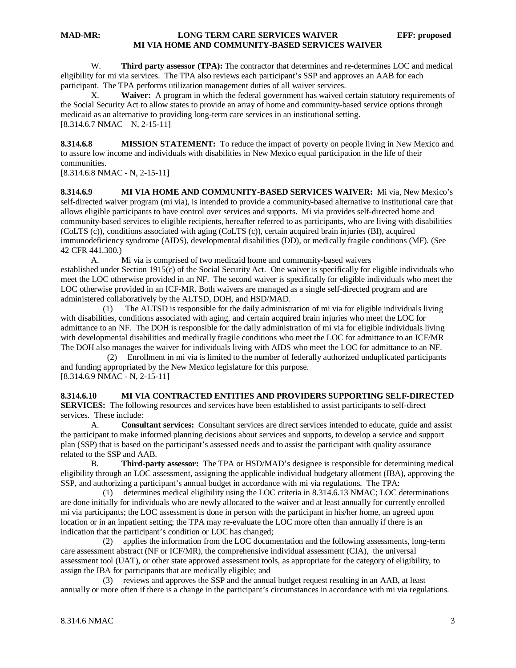W. **Third party assessor (TPA):** The contractor that determines and re-determines LOC and medical eligibility for mi via services. The TPA also reviews each participant's SSP and approves an AAB for each participant. The TPA performs utilization management duties of all waiver services.

X. **Waiver:** A program in which the federal government has waived certain statutory requirements of the Social Security Act to allow states to provide an array of home and community-based service options through medicaid as an alternative to providing long-term care services in an institutional setting.  $[8.314.6.7 \text{ NMAC} - \text{N}, 2-15-11]$ 

**8.314.6.8 MISSION STATEMENT:** To reduce the impact of poverty on people living in New Mexico and to assure low income and individuals with disabilities in New Mexico equal participation in the life of their communities.

[8.314.6.8 NMAC - N, 2-15-11]

**8.314.6.9 MI VIA HOME AND COMMUNITY-BASED SERVICES WAIVER:** Mi via, New Mexico's self-directed waiver program (mi via), is intended to provide a community-based alternative to institutional care that allows eligible participants to have control over services and supports. Mi via provides self-directed home and community-based services to eligible recipients, hereafter referred to as participants, who are living with disabilities (CoLTS (c)), conditions associated with aging (CoLTS (c)), certain acquired brain injuries (BI), acquired immunodeficiency syndrome (AIDS), developmental disabilities (DD), or medically fragile conditions (MF). (See 42 CFR 441.300.)

A. Mi via is comprised of two medicaid home and community-based waivers established under Section 1915(c) of the Social Security Act. One waiver is specifically for eligible individuals who meet the LOC otherwise provided in an NF. The second waiver is specifically for eligible individuals who meet the LOC otherwise provided in an ICF-MR. Both waivers are managed as a single self-directed program and are administered collaboratively by the ALTSD, DOH, and HSD/MAD.

 (1) The ALTSD is responsible for the daily administration of mi via for eligible individuals living with disabilities, conditions associated with aging, and certain acquired brain injuries who meet the LOC for admittance to an NF. The DOH is responsible for the daily administration of mi via for eligible individuals living with developmental disabilities and medically fragile conditions who meet the LOC for admittance to an ICF/MR The DOH also manages the waiver for individuals living with AIDS who meet the LOC for admittance to an NF.

 (2) Enrollment in mi via is limited to the number of federally authorized unduplicated participants and funding appropriated by the New Mexico legislature for this purpose. [8.314.6.9 NMAC - N, 2-15-11]

**8.314.6.10 MI VIA CONTRACTED ENTITIES AND PROVIDERS SUPPORTING SELF-DIRECTED SERVICES:** The following resources and services have been established to assist participants to self-direct services. These include:

A. **Consultant services:** Consultant services are direct services intended to educate, guide and assist the participant to make informed planning decisions about services and supports, to develop a service and support plan (SSP) that is based on the participant's assessed needs and to assist the participant with quality assurance related to the SSP and AAB.

B. **Third-party assessor:** The TPA or HSD/MAD's designee is responsible for determining medical eligibility through an LOC assessment, assigning the applicable individual budgetary allotment (IBA), approving the SSP, and authorizing a participant's annual budget in accordance with mi via regulations. The TPA:

 (1) determines medical eligibility using the LOC criteria in 8.314.6.13 NMAC; LOC determinations are done initially for individuals who are newly allocated to the waiver and at least annually for currently enrolled mi via participants; the LOC assessment is done in person with the participant in his/her home, an agreed upon location or in an inpatient setting; the TPA may re-evaluate the LOC more often than annually if there is an indication that the participant's condition or LOC has changed;

 (2) applies the information from the LOC documentation and the following assessments, long-term care assessment abstract (NF or ICF/MR), the comprehensive individual assessment (CIA), the universal assessment tool (UAT), or other state approved assessment tools, as appropriate for the category of eligibility, to assign the IBA for participants that are medically eligible; and

 (3) reviews and approves the SSP and the annual budget request resulting in an AAB, at least annually or more often if there is a change in the participant's circumstances in accordance with mi via regulations.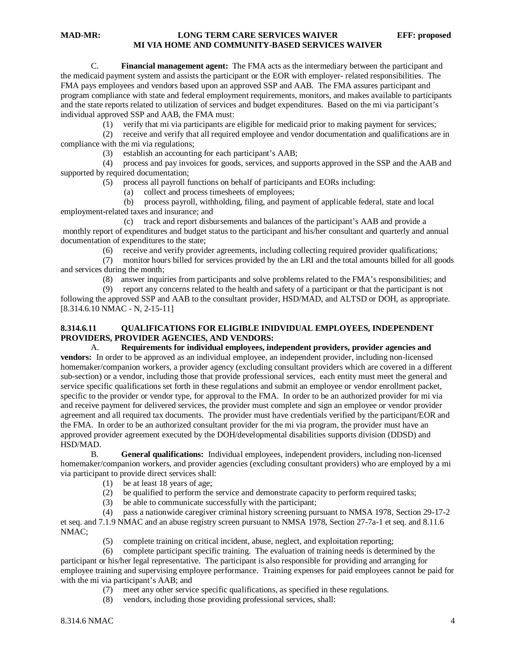C. **Financial management agent:** The FMA acts as the intermediary between the participant and the medicaid payment system and assists the participant or the EOR with employer- related responsibilities. The FMA pays employees and vendors based upon an approved SSP and AAB. The FMA assures participant and program compliance with state and federal employment requirements, monitors, and makes available to participants and the state reports related to utilization of services and budget expenditures. Based on the mi via participant's individual approved SSP and AAB, the FMA must:

(1) verify that mi via participants are eligible for medicaid prior to making payment for services;

 (2) receive and verify that all required employee and vendor documentation and qualifications are in compliance with the mi via regulations;

(3) establish an accounting for each participant's AAB;

 (4) process and pay invoices for goods, services, and supports approved in the SSP and the AAB and supported by required documentation;

(5) process all payroll functions on behalf of participants and EORs including:

(a) collect and process timesheets of employees;

 (b) process payroll, withholding, filing, and payment of applicable federal, state and local employment-related taxes and insurance; and

 (c) track and report disbursements and balances of the participant's AAB and provide a monthly report of expenditures and budget status to the participant and his/her consultant and quarterly and annual documentation of expenditures to the state;

(6) receive and verify provider agreements, including collecting required provider qualifications;

 (7) monitor hours billed for services provided by the an LRI and the total amounts billed for all goods and services during the month;

(8) answer inquiries from participants and solve problems related to the FMA's responsibilities; and

 (9) report any concerns related to the health and safety of a participant or that the participant is not following the approved SSP and AAB to the consultant provider, HSD/MAD, and ALTSD or DOH, as appropriate. [8.314.6.10 NMAC - N, 2-15-11]

#### **8.314.6.11 QUALIFICATIONS FOR ELIGIBLE INIDVIDUAL EMPLOYEES, INDEPENDENT PROVIDERS, PROVIDER AGENCIES, AND VENDORS:**

A. **Requirements for individual employees, independent providers, provider agencies and vendors:** In order to be approved as an individual employee, an independent provider, including non-licensed homemaker/companion workers, a provider agency (excluding consultant providers which are covered in a different sub-section) or a vendor, including those that provide professional services, each entity must meet the general and service specific qualifications set forth in these regulations and submit an employee or vendor enrollment packet, specific to the provider or vendor type, for approval to the FMA. In order to be an authorized provider for mi via and receive payment for delivered services, the provider must complete and sign an employee or vendor provider agreement and all required tax documents. The provider must have credentials verified by the participant/EOR and the FMA. In order to be an authorized consultant provider for the mi via program, the provider must have an approved provider agreement executed by the DOH/developmental disabilities supports division (DDSD) and HSD/MAD.

B. **General qualifications:** Individual employees, independent providers, including non-licensed homemaker/companion workers, and provider agencies (excluding consultant providers) who are employed by a mi via participant to provide direct services shall:

- (1) be at least 18 years of age;
- (2) be qualified to perform the service and demonstrate capacity to perform required tasks;
- (3) be able to communicate successfully with the participant;

 (4) pass a nationwide caregiver criminal history screening pursuant to NMSA 1978, Section 29-17-2 et seq. and 7.1.9 NMAC and an abuse registry screen pursuant to NMSA 1978, Section 27-7a-1 et seq. and 8.11.6 NMAC;

(5) complete training on critical incident, abuse, neglect, and exploitation reporting;

 (6) complete participant specific training. The evaluation of training needs is determined by the participant or his/her legal representative. The participant is also responsible for providing and arranging for employee training and supervising employee performance. Training expenses for paid employees cannot be paid for with the mi via participant's AAB; and

(7) meet any other service specific qualifications, as specified in these regulations.

(8) vendors, including those providing professional services, shall: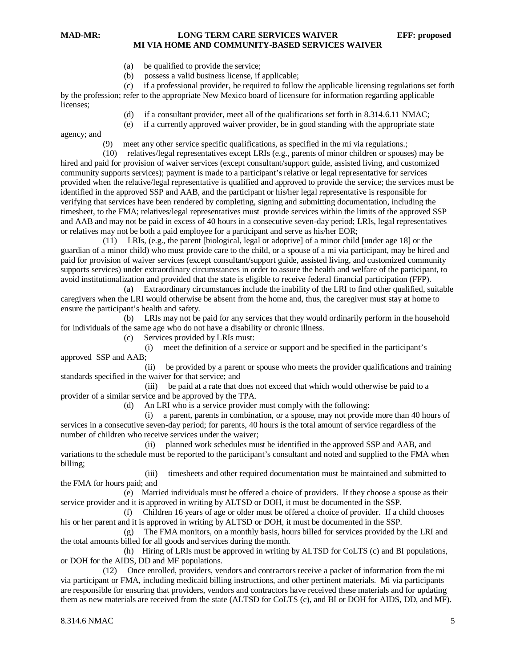- (a) be qualified to provide the service;
- (b) possess a valid business license, if applicable;

 (c) if a professional provider, be required to follow the applicable licensing regulations set forth by the profession; refer to the appropriate New Mexico board of licensure for information regarding applicable licenses;

- (d) if a consultant provider, meet all of the qualifications set forth in 8.314.6.11 NMAC;
- (e) if a currently approved waiver provider, be in good standing with the appropriate state

agency; and

(9) meet any other service specific qualifications, as specified in the mi via regulations.;

 (10) relatives/legal representatives except LRIs (e.g., parents of minor children or spouses) may be hired and paid for provision of waiver services (except consultant/support guide, assisted living, and customized community supports services); payment is made to a participant's relative or legal representative for services provided when the relative/legal representative is qualified and approved to provide the service; the services must be identified in the approved SSP and AAB, and the participant or his/her legal representative is responsible for verifying that services have been rendered by completing, signing and submitting documentation, including the timesheet, to the FMA; relatives/legal representatives must provide services within the limits of the approved SSP and AAB and may not be paid in excess of 40 hours in a consecutive seven-day period; LRIs, legal representatives or relatives may not be both a paid employee for a participant and serve as his/her EOR;

 (11) LRIs, (e.g., the parent [biological, legal or adoptive] of a minor child [under age 18] or the guardian of a minor child) who must provide care to the child, or a spouse of a mi via participant, may be hired and paid for provision of waiver services (except consultant/support guide, assisted living, and customized community supports services) under extraordinary circumstances in order to assure the health and welfare of the participant, to avoid institutionalization and provided that the state is eligible to receive federal financial participation (FFP).

 (a) Extraordinary circumstances include the inability of the LRI to find other qualified, suitable caregivers when the LRI would otherwise be absent from the home and, thus, the caregiver must stay at home to ensure the participant's health and safety.

 (b) LRIs may not be paid for any services that they would ordinarily perform in the household for individuals of the same age who do not have a disability or chronic illness.

(c) Services provided by LRIs must:

 (i) meet the definition of a service or support and be specified in the participant's approved SSP and AAB;

 (ii) be provided by a parent or spouse who meets the provider qualifications and training standards specified in the waiver for that service; and

 (iii) be paid at a rate that does not exceed that which would otherwise be paid to a provider of a similar service and be approved by the TPA.

(d) An LRI who is a service provider must comply with the following:

 (i) a parent, parents in combination, or a spouse, may not provide more than 40 hours of services in a consecutive seven-day period; for parents, 40 hours is the total amount of service regardless of the number of children who receive services under the waiver;

 (ii) planned work schedules must be identified in the approved SSP and AAB, and variations to the schedule must be reported to the participant's consultant and noted and supplied to the FMA when billing;

 (iii) timesheets and other required documentation must be maintained and submitted to the FMA for hours paid; and

 (e) Married individuals must be offered a choice of providers. If they choose a spouse as their service provider and it is approved in writing by ALTSD or DOH, it must be documented in the SSP.

 (f) Children 16 years of age or older must be offered a choice of provider. If a child chooses his or her parent and it is approved in writing by ALTSD or DOH, it must be documented in the SSP.

 (g) The FMA monitors, on a monthly basis, hours billed for services provided by the LRI and the total amounts billed for all goods and services during the month.

 (h) Hiring of LRIs must be approved in writing by ALTSD for CoLTS (c) and BI populations, or DOH for the AIDS, DD and MF populations.

 (12) Once enrolled, providers, vendors and contractors receive a packet of information from the mi via participant or FMA, including medicaid billing instructions, and other pertinent materials. Mi via participants are responsible for ensuring that providers, vendors and contractors have received these materials and for updating them as new materials are received from the state (ALTSD for CoLTS (c), and BI or DOH for AIDS, DD, and MF).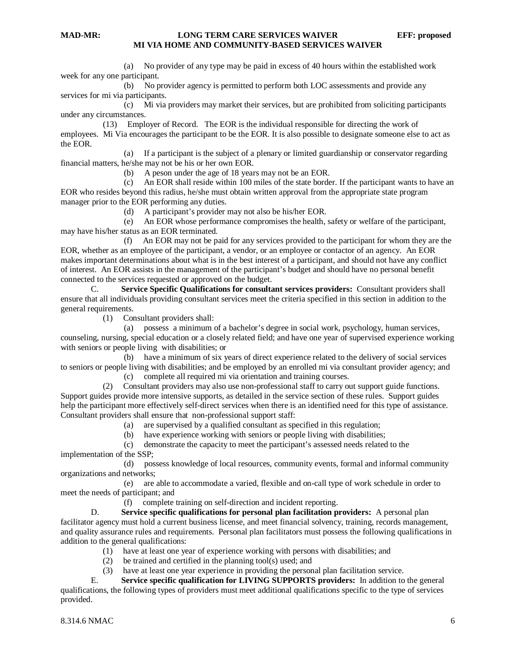(a) No provider of any type may be paid in excess of 40 hours within the established work week for any one participant.

 (b) No provider agency is permitted to perform both LOC assessments and provide any services for mi via participants.

 (c) Mi via providers may market their services, but are prohibited from soliciting participants under any circumstances.

 (13) Employer of Record. The EOR is the individual responsible for directing the work of employees. Mi Via encourages the participant to be the EOR. It is also possible to designate someone else to act as the EOR.

 (a) If a participant is the subject of a plenary or limited guardianship or conservator regarding financial matters, he/she may not be his or her own EOR.

(b) A peson under the age of 18 years may not be an EOR.

 (c) An EOR shall reside within 100 miles of the state border. If the participant wants to have an EOR who resides beyond this radius, he/she must obtain written approval from the appropriate state program manager prior to the EOR performing any duties.

(d) A participant's provider may not also be his/her EOR.

 (e) An EOR whose performance compromises the health, safety or welfare of the participant, may have his/her status as an EOR terminated.

 (f) An EOR may not be paid for any services provided to the participant for whom they are the EOR, whether as an employee of the participant, a vendor, or an employee or contactor of an agency. An EOR makes important determinations about what is in the best interest of a participant, and should not have any conflict of interest. An EOR assists in the management of the participant's budget and should have no personal benefit connected to the services requested or approved on the budget.

C. **Service Specific Qualifications for consultant services providers:** Consultant providers shall ensure that all individuals providing consultant services meet the criteria specified in this section in addition to the general requirements.

(1) Consultant providers shall:

 (a) possess a minimum of a bachelor's degree in social work, psychology, human services, counseling, nursing, special education or a closely related field; and have one year of supervised experience working with seniors or people living with disabilities; or

 (b) have a minimum of six years of direct experience related to the delivery of social services to seniors or people living with disabilities; and be employed by an enrolled mi via consultant provider agency; and

(c) complete all required mi via orientation and training courses.<br>(2) Consultant providers may also use non-professional staff to carry or

 (2) Consultant providers may also use non-professional staff to carry out support guide functions. Support guides provide more intensive supports, as detailed in the service section of these rules. Support guides help the participant more effectively self-direct services when there is an identified need for this type of assistance. Consultant providers shall ensure that non-professional support staff:

(a) are supervised by a qualified consultant as specified in this regulation;

(b) have experience working with seniors or people living with disabilities;

(c) demonstrate the capacity to meet the participant's assessed needs related to the

implementation of the SSP;

 (d) possess knowledge of local resources, community events, formal and informal community organizations and networks;

 (e) are able to accommodate a varied, flexible and on-call type of work schedule in order to meet the needs of participant; and

(f) complete training on self-direction and incident reporting.

D. **Service specific qualifications for personal plan facilitation providers:** A personal plan facilitator agency must hold a current business license, and meet financial solvency, training, records management, and quality assurance rules and requirements. Personal plan facilitators must possess the following qualifications in

addition to the general qualifications: (1) have at least one year of experience working with persons with disabilities; and

- (2) be trained and certified in the planning tool(s) used; and
- 
- (3) have at least one year experience in providing the personal plan facilitation service.

E. **Service specific qualification for LIVING SUPPORTS providers:** In addition to the general qualifications, the following types of providers must meet additional qualifications specific to the type of services provided.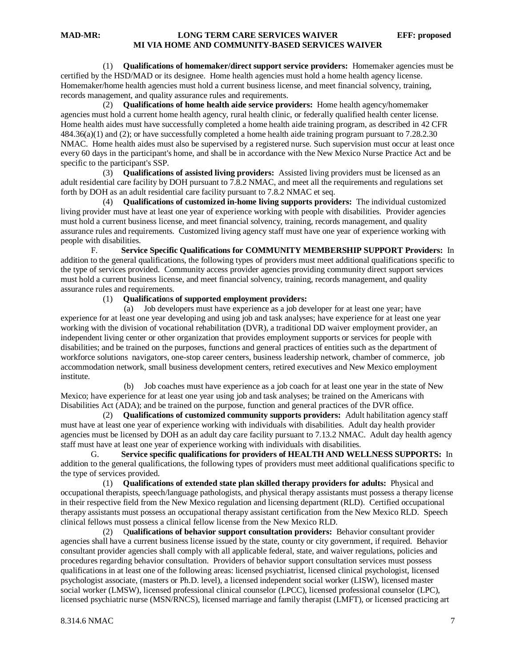(1) **Qualifications of homemaker/direct support service providers:** Homemaker agencies must be certified by the HSD/MAD or its designee. Home health agencies must hold a home health agency license. Homemaker/home health agencies must hold a current business license, and meet financial solvency, training, records management, and quality assurance rules and requirements.

 (2) **Qualifications of home health aide service providers:** Home health agency/homemaker agencies must hold a current home health agency, rural health clinic, or federally qualified health center license. Home health aides must have successfully completed a home health aide training program, as described in 42 CFR 484.36(a)(1) and (2); or have successfully completed a home health aide training program pursuant to 7.28.2.30 NMAC. Home health aides must also be supervised by a registered nurse. Such supervision must occur at least once every 60 days in the participant's home, and shall be in accordance with the New Mexico Nurse Practice Act and be specific to the participant's SSP.

 (3) **Qualifications of assisted living providers:** Assisted living providers must be licensed as an adult residential care facility by DOH pursuant to 7.8.2 NMAC, and meet all the requirements and regulations set forth by DOH as an adult residential care facility pursuant to 7.8.2 NMAC et seq.

 (4) **Qualifications of customized in-home living supports providers:** The individual customized living provider must have at least one year of experience working with people with disabilities. Provider agencies must hold a current business license, and meet financial solvency, training, records management, and quality assurance rules and requirements. Customized living agency staff must have one year of experience working with people with disabilities.

F. **Service Specific Qualifications for COMMUNITY MEMBERSHIP SUPPORT Providers:** In addition to the general qualifications, the following types of providers must meet additional qualifications specific to the type of services provided. Community access provider agencies providing community direct support services must hold a current business license, and meet financial solvency, training, records management, and quality assurance rules and requirements.

#### (1) **Qualificatio**n**s of supported employment providers:**

 (a) Job developers must have experience as a job developer for at least one year; have experience for at least one year developing and using job and task analyses; have experience for at least one year working with the division of vocational rehabilitation (DVR), a traditional DD waiver employment provider, an independent living center or other organization that provides employment supports or services for people with disabilities; and be trained on the purposes, functions and general practices of entities such as the department of workforce solutions navigators, one-stop career centers, business leadership network, chamber of commerce, job accommodation network, small business development centers, retired executives and New Mexico employment institute.

 (b) Job coaches must have experience as a job coach for at least one year in the state of New Mexico; have experience for at least one year using job and task analyses; be trained on the Americans with Disabilities Act (ADA); and be trained on the purpose, function and general practices of the DVR office.

 (2) **Qualifications of customized community supports providers:** Adult habilitation agency staff must have at least one year of experience working with individuals with disabilities. Adult day health provider agencies must be licensed by DOH as an adult day care facility pursuant to 7.13.2 NMAC. Adult day health agency staff must have at least one year of experience working with individuals with disabilities.

G. **Service specific qualifications for providers of HEALTH AND WELLNESS SUPPORTS:** In addition to the general qualifications, the following types of providers must meet additional qualifications specific to the type of services provided.

 (1) **Qualifications of extended state plan skilled therapy providers for adults:** Physical and occupational therapists, speech/language pathologists, and physical therapy assistants must possess a therapy license in their respective field from the New Mexico regulation and licensing department (RLD). Certified occupational therapy assistants must possess an occupational therapy assistant certification from the New Mexico RLD. Speech clinical fellows must possess a clinical fellow license from the New Mexico RLD.

 (2) Q**ualifications of behavior support consultation providers:** Behavior consultant provider agencies shall have a current business license issued by the state, county or city government, if required. Behavior consultant provider agencies shall comply with all applicable federal, state, and waiver regulations, policies and procedures regarding behavior consultation. Providers of behavior support consultation services must possess qualifications in at least one of the following areas: licensed psychiatrist, licensed clinical psychologist, licensed psychologist associate, (masters or Ph.D. level), a licensed independent social worker (LISW), licensed master social worker (LMSW), licensed professional clinical counselor (LPCC), licensed professional counselor (LPC), licensed psychiatric nurse (MSN/RNCS), licensed marriage and family therapist (LMFT), or licensed practicing art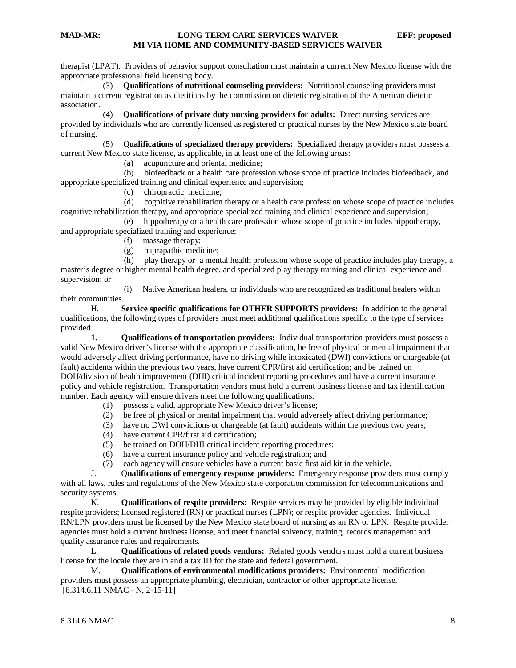therapist (LPAT). Providers of behavior support consultation must maintain a current New Mexico license with the appropriate professional field licensing body.

 (3) **Qualifications of nutritional counseling providers:** Nutritional counseling providers must maintain a current registration as dietitians by the commission on dietetic registration of the American dietetic association.

 (4) **Qualifications of private duty nursing providers for adults:** Direct nursing services are provided by individuals who are currently licensed as registered or practical nurses by the New Mexico state board of nursing.

 (5) Q**ualifications of specialized therapy providers:** Specialized therapy providers must possess a current New Mexico state license, as applicable, in at least one of the following areas:

(a) acupuncture and oriental medicine;

 (b) biofeedback or a health care profession whose scope of practice includes biofeedback, and appropriate specialized training and clinical experience and supervision;

(c) chiropractic medicine;

 (d) cognitive rehabilitation therapy or a health care profession whose scope of practice includes cognitive rehabilitation therapy, and appropriate specialized training and clinical experience and supervision;

 (e) hippotherapy or a health care profession whose scope of practice includes hippotherapy, and appropriate specialized training and experience;

- (f) massage therapy;<br>(g) naprapathic medi
- naprapathic medicine;

 (h) play therapy or a mental health profession whose scope of practice includes play therapy, a master's degree or higher mental health degree, and specialized play therapy training and clinical experience and supervision; or

 (i) Native American healers, or individuals who are recognized as traditional healers within their communities.

H. **Service specific qualifications for OTHER SUPPORTS providers:** In addition to the general qualifications, the following types of providers must meet additional qualifications specific to the type of services provided.

**1. Qualifications of transportation providers:** Individual transportation providers must possess a valid New Mexico driver's license with the appropriate classification, be free of physical or mental impairment that would adversely affect driving performance, have no driving while intoxicated (DWI) convictions or chargeable (at fault) accidents within the previous two years, have current CPR/first aid certification; and be trained on DOH/division of health improvement (DHI) critical incident reporting procedures and have a current insurance policy and vehicle registration. Transportation vendors must hold a current business license and tax identification number. Each agency will ensure drivers meet the following qualifications:

- (1) possess a valid, appropriate New Mexico driver's license;
- (2) be free of physical or mental impairment that would adversely affect driving performance;
- (3) have no DWI convictions or chargeable (at fault) accidents within the previous two years;
- (4) have current CPR/first aid certification;
- (5) be trained on DOH/DHI critical incident reporting procedures;
- (6) have a current insurance policy and vehicle registration; and
- (7) each agency will ensure vehicles have a current basic first aid kit in the vehicle.

J. Q**ualifications of emergency response providers:** Emergency response providers must comply with all laws, rules and regulations of the New Mexico state corporation commission for telecommunications and security systems.<br>K.

K. **Qualifications of respite providers:** Respite services may be provided by eligible individual respite providers; licensed registered (RN) or practical nurses (LPN); or respite provider agencies. Individual RN/LPN providers must be licensed by the New Mexico state board of nursing as an RN or LPN. Respite provider agencies must hold a current business license, and meet financial solvency, training, records management and quality assurance rules and requirements.

L. **Qualifications of related goods vendors:** Related goods vendors must hold a current business license for the locale they are in and a tax ID for the state and federal government.

M. **Qualifications of environmental modifications providers:** Environmental modification providers must possess an appropriate plumbing, electrician, contractor or other appropriate license. [8.314.6.11 NMAC - N, 2-15-11]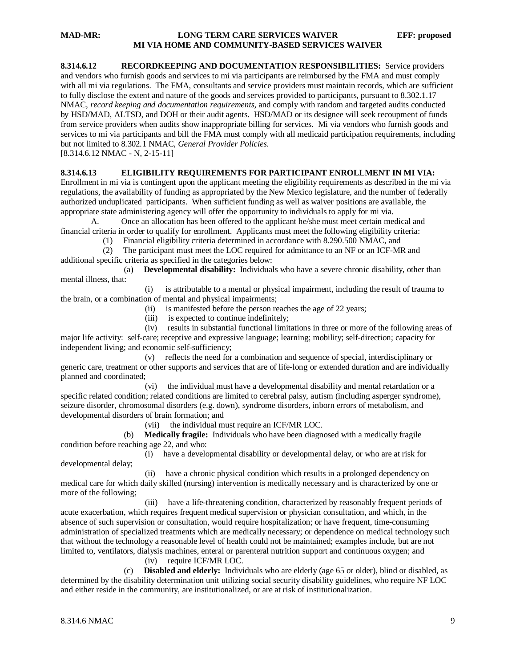**8.314.6.12 RECORDKEEPING AND DOCUMENTATION RESPONSIBILITIES:** Service providers and vendors who furnish goods and services to mi via participants are reimbursed by the FMA and must comply with all mi via regulations. The FMA, consultants and service providers must maintain records, which are sufficient to fully disclose the extent and nature of the goods and services provided to participants, pursuant to 8.302.1.17 NMAC, *record keeping and documentation requirements,* and comply with random and targeted audits conducted by HSD/MAD, ALTSD, and DOH or their audit agents. HSD/MAD or its designee will seek recoupment of funds from service providers when audits show inappropriate billing for services. Mi via vendors who furnish goods and services to mi via participants and bill the FMA must comply with all medicaid participation requirements, including but not limited to 8.302.1 NMAC, *General Provider Policies*. [8.314.6.12 NMAC - N, 2-15-11]

#### **8.314.6.13 ELIGIBILITY REQUIREMENTS FOR PARTICIPANT ENROLLMENT IN MI VIA:**

Enrollment in mi via is contingent upon the applicant meeting the eligibility requirements as described in the mi via regulations, the availability of funding as appropriated by the New Mexico legislature, and the number of federally authorized unduplicated participants. When sufficient funding as well as waiver positions are available, the appropriate state administering agency will offer the opportunity to individuals to apply for mi via.

A. Once an allocation has been offered to the applicant he/she must meet certain medical and financial criteria in order to qualify for enrollment. Applicants must meet the following eligibility criteria:

(1) Financial eligibility criteria determined in accordance with 8.290.500 NMAC, and

 (2) The participant must meet the LOC required for admittance to an NF or an ICF-MR and additional specific criteria as specified in the categories below:

 (a) **Developmental disability:** Individuals who have a severe chronic disability, other than mental illness, that:

 (i) is attributable to a mental or physical impairment, including the result of trauma to the brain, or a combination of mental and physical impairments;

(ii) is manifested before the person reaches the age of 22 years;

(iii) is expected to continue indefinitely;

(iv) results in substantial functional limitations in three or more of the following areas of major life activity: self-care; receptive and expressive language; learning; mobility; self-direction; capacity for independent living; and economic self-sufficiency;

 (v) reflects the need for a combination and sequence of special, interdisciplinary or generic care, treatment or other supports and services that are of life-long or extended duration and are individually planned and coordinated;

 (vi) the individual must have a developmental disability and mental retardation or a specific related condition; related conditions are limited to cerebral palsy, autism (including asperger syndrome), seizure disorder, chromosomal disorders (e.g. down), syndrome disorders, inborn errors of metabolism, and developmental disorders of brain formation; and

(vii) the individual must require an ICF/MR LOC.

 (b) **Medically fragile:** Individuals who have been diagnosed with a medically fragile condition before reaching age 22, and who:

 (i) have a developmental disability or developmental delay, or who are at risk for developmental delay;

 (ii) have a chronic physical condition which results in a prolonged dependency on medical care for which daily skilled (nursing) intervention is medically necessary and is characterized by one or more of the following;

 (iii) have a life-threatening condition, characterized by reasonably frequent periods of acute exacerbation, which requires frequent medical supervision or physician consultation, and which, in the absence of such supervision or consultation, would require hospitalization; or have frequent, time-consuming administration of specialized treatments which are medically necessary; or dependence on medical technology such that without the technology a reasonable level of health could not be maintained; examples include, but are not limited to, ventilators, dialysis machines, enteral or parenteral nutrition support and continuous oxygen; and

(iv) require ICF/MR LOC.

 (c) **Disabled and elderly:** Individuals who are elderly (age 65 or older), blind or disabled, as determined by the disability determination unit utilizing social security disability guidelines, who require NF LOC and either reside in the community, are institutionalized, or are at risk of institutionalization.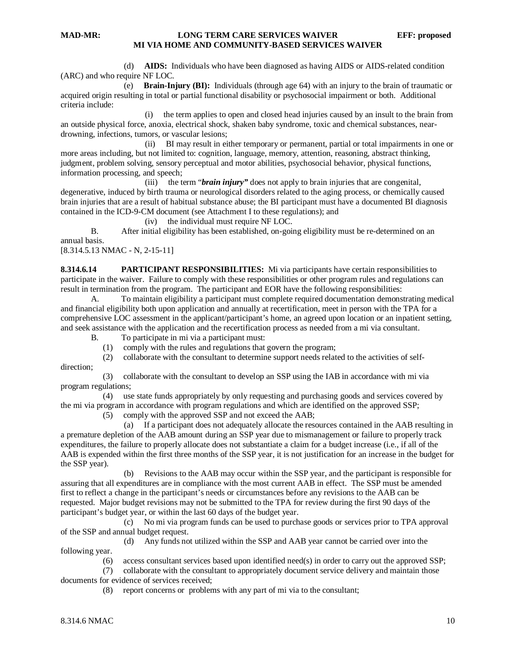(d) **AIDS:** Individuals who have been diagnosed as having AIDS or AIDS-related condition (ARC) and who require NF LOC.

 (e) **Brain-Injury (BI):** Individuals (through age 64) with an injury to the brain of traumatic or acquired origin resulting in total or partial functional disability or psychosocial impairment or both. Additional criteria include:

 (i) the term applies to open and closed head injuries caused by an insult to the brain from an outside physical force, anoxia, electrical shock, shaken baby syndrome, toxic and chemical substances, neardrowning, infections, tumors, or vascular lesions;

 (ii) BI may result in either temporary or permanent, partial or total impairments in one or more areas including, but not limited to: cognition, language, memory, attention, reasoning, abstract thinking, judgment, problem solving, sensory perceptual and motor abilities, psychosocial behavior, physical functions, information processing, and speech;

 (iii) the term "*brain injury"* does not apply to brain injuries that are congenital, degenerative, induced by birth trauma or neurological disorders related to the aging process, or chemically caused brain injuries that are a result of habitual substance abuse; the BI participant must have a documented BI diagnosis contained in the ICD-9-CM document (see Attachment I to these regulations); and

(iv) the individual must require NF LOC.

B. After initial eligibility has been established, on-going eligibility must be re-determined on an annual basis.

[8.314.5.13 NMAC - N, 2-15-11]

**8.314.6.14 PARTICIPANT RESPONSIBILITIES:** Mi via participants have certain responsibilities to participate in the waiver. Failure to comply with these responsibilities or other program rules and regulations can result in termination from the program. The participant and EOR have the following responsibilities:

A. To maintain eligibility a participant must complete required documentation demonstrating medical and financial eligibility both upon application and annually at recertification, meet in person with the TPA for a comprehensive LOC assessment in the applicant/participant's home, an agreed upon location or an inpatient setting, and seek assistance with the application and the recertification process as needed from a mi via consultant.

B. To participate in mi via a participant must:

(1) comply with the rules and regulations that govern the program;

 (2) collaborate with the consultant to determine support needs related to the activities of selfdirection;

 (3) collaborate with the consultant to develop an SSP using the IAB in accordance with mi via program regulations;

 (4) use state funds appropriately by only requesting and purchasing goods and services covered by the mi via program in accordance with program regulations and which are identified on the approved SSP;

(5) comply with the approved SSP and not exceed the AAB;

 (a) If a participant does not adequately allocate the resources contained in the AAB resulting in a premature depletion of the AAB amount during an SSP year due to mismanagement or failure to properly track expenditures, the failure to properly allocate does not substantiate a claim for a budget increase (i.e., if all of the AAB is expended within the first three months of the SSP year, it is not justification for an increase in the budget for the SSP year).

 (b) Revisions to the AAB may occur within the SSP year, and the participant is responsible for assuring that all expenditures are in compliance with the most current AAB in effect. The SSP must be amended first to reflect a change in the participant's needs or circumstances before any revisions to the AAB can be requested. Major budget revisions may not be submitted to the TPA for review during the first 90 days of the participant's budget year, or within the last 60 days of the budget year.

 (c) No mi via program funds can be used to purchase goods or services prior to TPA approval of the SSP and annual budget request.

 (d) Any funds not utilized within the SSP and AAB year cannot be carried over into the following year.

(6) access consultant services based upon identified need(s) in order to carry out the approved SSP;

 (7) collaborate with the consultant to appropriately document service delivery and maintain those documents for evidence of services received;

(8) report concerns or problems with any part of mi via to the consultant;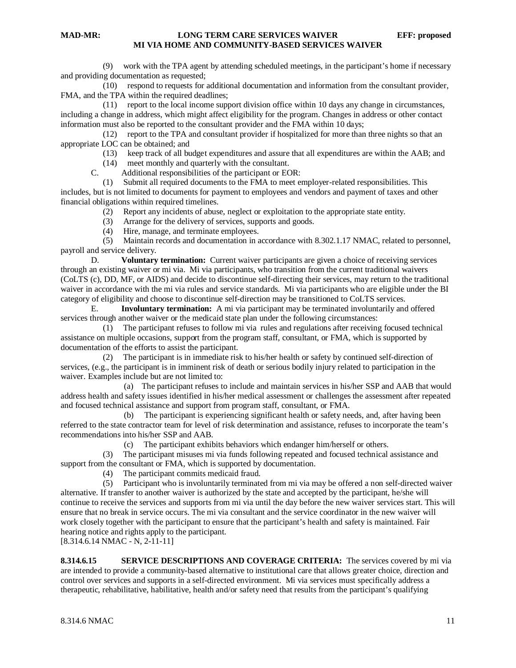(9) work with the TPA agent by attending scheduled meetings, in the participant's home if necessary and providing documentation as requested;

 (10) respond to requests for additional documentation and information from the consultant provider, FMA, and the TPA within the required deadlines;

 (11) report to the local income support division office within 10 days any change in circumstances, including a change in address, which might affect eligibility for the program. Changes in address or other contact information must also be reported to the consultant provider and the FMA within 10 days;

 (12) report to the TPA and consultant provider if hospitalized for more than three nights so that an appropriate LOC can be obtained; and

(13) keep track of all budget expenditures and assure that all expenditures are within the AAB; and

(14) meet monthly and quarterly with the consultant.<br> $C = \text{Additional responsibility of the participant or EC}$ 

Additional responsibilities of the participant or EOR:

 (1) Submit all required documents to the FMA to meet employer-related responsibilities. This includes, but is not limited to documents for payment to employees and vendors and payment of taxes and other financial obligations within required timelines.

(2) Report any incidents of abuse, neglect or exploitation to the appropriate state entity.

(3) Arrange for the delivery of services, supports and goods.

(4) Hire, manage, and terminate employees.

 (5) Maintain records and documentation in accordance with 8.302.1.17 NMAC, related to personnel, payroll and service delivery.

D. **Voluntary termination:** Current waiver participants are given a choice of receiving services through an existing waiver or mi via. Mi via participants, who transition from the current traditional waivers (CoLTS (c), DD, MF, or AIDS) and decide to discontinue self-directing their services, may return to the traditional waiver in accordance with the mi via rules and service standards. Mi via participants who are eligible under the BI category of eligibility and choose to discontinue self-direction may be transitioned to CoLTS services.

E. **Involuntary termination:** A mi via participant may be terminated involuntarily and offered services through another waiver or the medicaid state plan under the following circumstances:

 (1) The participant refuses to follow mi via rules and regulations after receiving focused technical assistance on multiple occasions, support from the program staff, consultant, or FMA, which is supported by documentation of the efforts to assist the participant.

 (2) The participant is in immediate risk to his/her health or safety by continued self-direction of services, (e.g., the participant is in imminent risk of death or serious bodily injury related to participation in the waiver. Examples include but are not limited to:

 (a) The participant refuses to include and maintain services in his/her SSP and AAB that would address health and safety issues identified in his/her medical assessment or challenges the assessment after repeated and focused technical assistance and support from program staff, consultant, or FMA.

 (b) The participant is experiencing significant health or safety needs, and, after having been referred to the state contractor team for level of risk determination and assistance, refuses to incorporate the team's recommendations into his/her SSP and AAB.

(c) The participant exhibits behaviors which endanger him/herself or others.<br>(3) The participant misuses mi via funds following repeated and focused technical

The participant misuses mi via funds following repeated and focused technical assistance and support from the consultant or FMA, which is supported by documentation.

(4) The participant commits medicaid fraud.

 (5) Participant who is involuntarily terminated from mi via may be offered a non self-directed waiver alternative. If transfer to another waiver is authorized by the state and accepted by the participant, he/she will continue to receive the services and supports from mi via until the day before the new waiver services start. This will ensure that no break in service occurs. The mi via consultant and the service coordinator in the new waiver will work closely together with the participant to ensure that the participant's health and safety is maintained. Fair hearing notice and rights apply to the participant.

[8.314.6.14 NMAC - N, 2-11-11]

**8.314.6.15 SERVICE DESCRIPTIONS AND COVERAGE CRITERIA:** The services covered by mi via are intended to provide a community-based alternative to institutional care that allows greater choice, direction and control over services and supports in a self-directed environment. Mi via services must specifically address a therapeutic, rehabilitative, habilitative, health and/or safety need that results from the participant's qualifying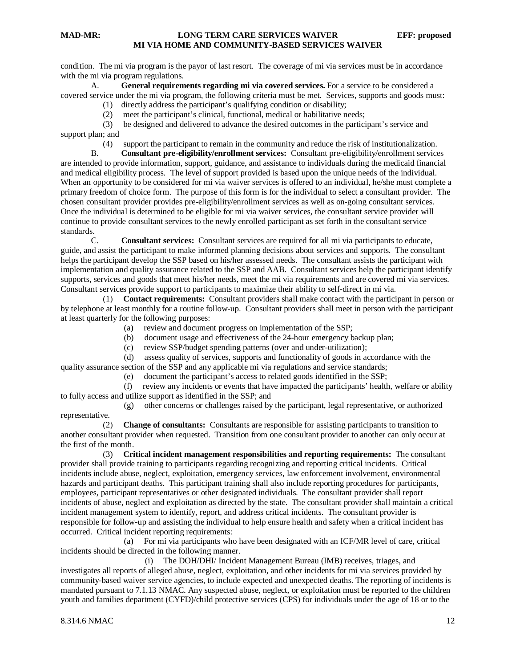condition. The mi via program is the payor of last resort. The coverage of mi via services must be in accordance with the mi via program regulations.

A. **General requirements regarding mi via covered services.** For a service to be considered a covered service under the mi via program, the following criteria must be met. Services, supports and goods must:

- (1) directly address the participant's qualifying condition or disability;
- (2) meet the participant's clinical, functional, medical or habilitative needs;

 (3) be designed and delivered to advance the desired outcomes in the participant's service and support plan; and

(4) support the participant to remain in the community and reduce the risk of institutionalization.

B. **Consultant pre-eligibility/enrollment services:** Consultant pre-eligibility/enrollment services are intended to provide information, support, guidance, and assistance to individuals during the medicaid financial and medical eligibility process. The level of support provided is based upon the unique needs of the individual. When an opportunity to be considered for mi via waiver services is offered to an individual, he/she must complete a primary freedom of choice form. The purpose of this form is for the individual to select a consultant provider. The chosen consultant provider provides pre-eligibility/enrollment services as well as on-going consultant services. Once the individual is determined to be eligible for mi via waiver services, the consultant service provider will continue to provide consultant services to the newly enrolled participant as set forth in the consultant service standards.

C. **Consultant services:** Consultant services are required for all mi via participants to educate, guide, and assist the participant to make informed planning decisions about services and supports. The consultant helps the participant develop the SSP based on his/her assessed needs. The consultant assists the participant with implementation and quality assurance related to the SSP and AAB. Consultant services help the participant identify supports, services and goods that meet his/her needs, meet the mi via requirements and are covered mi via services. Consultant services provide support to participants to maximize their ability to self-direct in mi via.

 (1) **Contact requirements:** Consultant providers shall make contact with the participant in person or by telephone at least monthly for a routine follow-up. Consultant providers shall meet in person with the participant at least quarterly for the following purposes:

- (a) review and document progress on implementation of the SSP;
- (b) document usage and effectiveness of the 24-hour em**e**rgency backup plan;
- (c) review SSP/budget spending patterns (over and under-utilization);

(d) assess quality of services, supports and functionality of goods in accordance with the

quality assurance section of the SSP and any applicable mi via regulations and service standards;

(e) document the participant's access to related goods identified in the SSP;

 (f) review any incidents or events that have impacted the participants' health, welfare or ability to fully access and utilize support as identified in the SSP; and

 (g) other concerns or challenges raised by the participant, legal representative, or authorized representative.

 (2) **Change of consultants:** Consultants are responsible for assisting participants to transition to another consultant provider when requested. Transition from one consultant provider to another can only occur at the first of the month.

 (3) **Critical incident management responsibilities and reporting requirements:** The consultant provider shall provide training to participants regarding recognizing and reporting critical incidents. Critical incidents include abuse, neglect, exploitation, emergency services, law enforcement involvement, environmental hazards and participant deaths. This participant training shall also include reporting procedures for participants, employees, participant representatives or other designated individuals. The consultant provider shall report incidents of abuse, neglect and exploitation as directed by the state. The consultant provider shall maintain a critical incident management system to identify, report, and address critical incidents. The consultant provider is responsible for follow-up and assisting the individual to help ensure health and safety when a critical incident has occurred. Critical incident reporting requirements:

 (a) For mi via participants who have been designated with an ICF/MR level of care, critical incidents should be directed in the following manner.

 (i) The DOH/DHI/ Incident Management Bureau (IMB) receives, triages, and investigates all reports of alleged abuse, neglect, exploitation, and other incidents for mi via services provided by community-based waiver service agencies, to include expected and unexpected deaths. The reporting of incidents is mandated pursuant to 7.1.13 NMAC. Any suspected abuse, neglect, or exploitation must be reported to the children youth and families department (CYFD)/child protective services (CPS) for individuals under the age of 18 or to the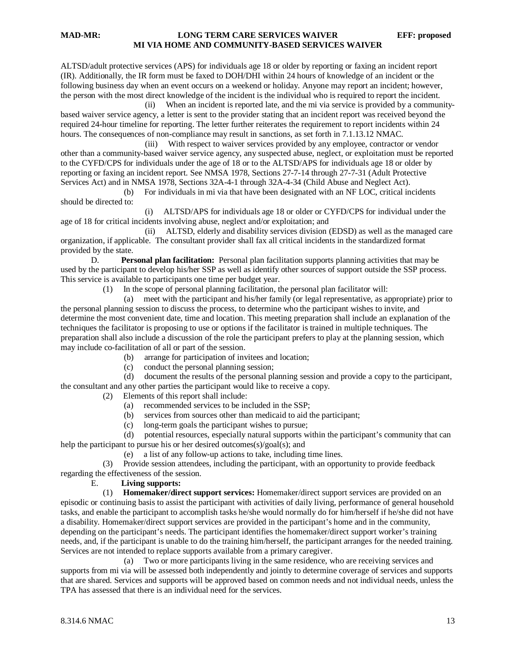ALTSD/adult protective services (APS) for individuals age 18 or older by reporting or faxing an incident report (IR). Additionally, the IR form must be faxed to DOH/DHI within 24 hours of knowledge of an incident or the following business day when an event occurs on a weekend or holiday. Anyone may report an incident; however, the person with the most direct knowledge of the incident is the individual who is required to report the incident.

 (ii) When an incident is reported late, and the mi via service is provided by a communitybased waiver service agency, a letter is sent to the provider stating that an incident report was received beyond the required 24-hour timeline for reporting. The letter further reiterates the requirement to report incidents within 24 hours. The consequences of non-compliance may result in sanctions, as set forth in 7.1.13.12 NMAC.

 (iii) With respect to waiver services provided by any employee, contractor or vendor other than a community-based waiver service agency, any suspected abuse, neglect, or exploitation must be reported to the CYFD/CPS for individuals under the age of 18 or to the ALTSD/APS for individuals age 18 or older by reporting or faxing an incident report. See NMSA 1978, Sections 27-7-14 through 27-7-31 (Adult Protective Services Act) and in NMSA 1978, Sections 32A-4-1 through 32A-4-34 (Child Abuse and Neglect Act).

 (b) For individuals in mi via that have been designated with an NF LOC, critical incidents should be directed to:

 (i) ALTSD/APS for individuals age 18 or older or CYFD/CPS for individual under the age of 18 for critical incidents involving abuse, neglect and/or exploitation; and

 (ii) ALTSD, elderly and disability services division (EDSD) as well as the managed care organization, if applicable. The consultant provider shall fax all critical incidents in the standardized format provided by the state.

D. **Personal plan facilitation:** Personal plan facilitation supports planning activities that may be used by the participant to develop his/her SSP as well as identify other sources of support outside the SSP process. This service is available to participants one time per budget year.

(1) In the scope of personal planning facilitation, the personal plan facilitator will:

 (a) meet with the participant and his/her family (or legal representative, as appropriate) prior to the personal planning session to discuss the process, to determine who the participant wishes to invite, and determine the most convenient date, time and location. This meeting preparation shall include an explanation of the techniques the facilitator is proposing to use or options if the facilitator is trained in multiple techniques. The preparation shall also include a discussion of the role the participant prefers to play at the planning session, which may include co-facilitation of all or part of the session.

- (b) arrange for participation of invitees and location;
- (c) conduct the personal planning session;

 (d) document the results of the personal planning session and provide a copy to the participant, the consultant and any other parties the participant would like to receive a copy.

- (2) Elements of this report shall include:
	- (a) recommended services to be included in the SSP;
	- (b) services from sources other than medicaid to aid the participant;
	- (c) long-term goals the participant wishes to pursue;

 (d) potential resources, especially natural supports within the participant's community that can help the participant to pursue his or her desired outcomes(s)/goal(s); and

(e) a list of any follow-up actions to take, including time lines.

 (3) Provide session attendees, including the participant, with an opportunity to provide feedback regarding the effectiveness of the session.

#### E. **Living supports:**

 (1) **Homemaker/direct support services:** Homemaker/direct support services are provided on an episodic or continuing basis to assist the participant with activities of daily living, performance of general household tasks, and enable the participant to accomplish tasks he/she would normally do for him/herself if he/she did not have a disability. Homemaker/direct support services are provided in the participant's home and in the community, depending on the participant's needs. The participant identifies the homemaker/direct support worker's training needs, and, if the participant is unable to do the training him/herself, the participant arranges for the needed training. Services are not intended to replace supports available from a primary caregiver.

 (a) Two or more participants living in the same residence, who are receiving services and supports from mi via will be assessed both independently and jointly to determine coverage of services and supports that are shared. Services and supports will be approved based on common needs and not individual needs, unless the TPA has assessed that there is an individual need for the services.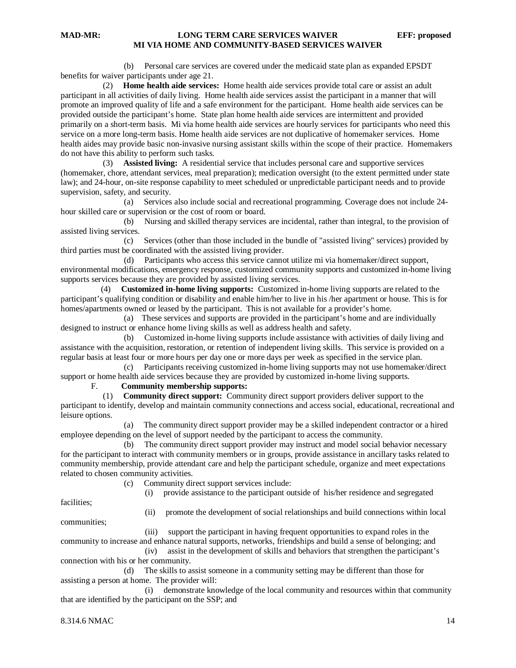(b) Personal care services are covered under the medicaid state plan as expanded EPSDT benefits for waiver participants under age 21.

 (2) **Home health aide services:** Home health aide services provide total care or assist an adult participant in all activities of daily living. Home health aide services assist the participant in a manner that will promote an improved quality of life and a safe environment for the participant. Home health aide services can be provided outside the participant's home. State plan home health aide services are intermittent and provided primarily on a short-term basis. Mi via home health aide services are hourly services for participants who need this service on a more long-term basis. Home health aide services are not duplicative of homemaker services. Home health aides may provide basic non-invasive nursing assistant skills within the scope of their practice. Homemakers do not have this ability to perform such tasks.

 (3) **Assisted living:** A residential service that includes personal care and supportive services (homemaker, chore, attendant services, meal preparation); medication oversight (to the extent permitted under state law); and 24-hour, on-site response capability to meet scheduled or unpredictable participant needs and to provide supervision, safety, and security.

 (a) Services also include social and recreational programming. Coverage does not include 24 hour skilled care or supervision or the cost of room or board.

 (b) Nursing and skilled therapy services are incidental, rather than integral, to the provision of assisted living services.

 (c) Services (other than those included in the bundle of "assisted living" services) provided by third parties must be coordinated with the assisted living provider.

 (d) Participants who access this service cannot utilize mi via homemaker/direct support, environmental modifications, emergency response, customized community supports and customized in-home living supports services because they are provided by assisted living services.

 (4) **Customized in-home living supports:** Customized in-home living supports are related to the participant's qualifying condition or disability and enable him/her to live in his /her apartment or house. This is for homes/apartments owned or leased by the participant. This is not available for a provider's home.

 (a) These services and supports are provided in the participant's home and are individually designed to instruct or enhance home living skills as well as address health and safety.

 (b) Customized in-home living supports include assistance with activities of daily living and assistance with the acquisition, restoration, or retention of independent living skills. This service is provided on a regular basis at least four or more hours per day one or more days per week as specified in the service plan.

 (c) Participants receiving customized in-home living supports may not use homemaker/direct support or home health aide services because they are provided by customized in-home living supports.

## F. **Community membership supports:**

 (1) **Community direct support:** Community direct support providers deliver support to the participant to identify, develop and maintain community connections and access social, educational, recreational and leisure options.

 (a) The community direct support provider may be a skilled independent contractor or a hired employee depending on the level of support needed by the participant to access the community.

 (b) The community direct support provider may instruct and model social behavior necessary for the participant to interact with community members or in groups, provide assistance in ancillary tasks related to community membership, provide attendant care and help the participant schedule, organize and meet expectations related to chosen community activities.

(c) Community direct support services include:

(i) provide assistance to the participant outside of his/her residence and segregated

facilities;

communities;

(ii) promote the development of social relationships and build connections within local

 (iii) support the participant in having frequent opportunities to expand roles in the community to increase and enhance natural supports, networks, friendships and build a sense of belonging; and (iv) assist in the development of skills and behaviors that strengthen the participant's

connection with his or her community.

 (d) The skills to assist someone in a community setting may be different than those for assisting a person at home. The provider will:

 (i) demonstrate knowledge of the local community and resources within that community that are identified by the participant on the SSP; and

8.314.6 NMAC 14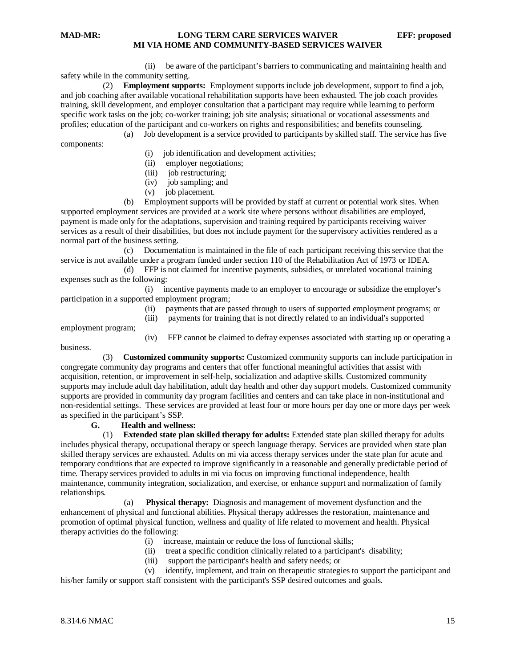(ii) be aware of the participant's barriers to communicating and maintaining health and safety while in the community setting.

 (2) **Employment supports:** Employment supports include job development, support to find a job, and job coaching after available vocational rehabilitation supports have been exhausted. The job coach provides training, skill development, and employer consultation that a participant may require while learning to perform specific work tasks on the job; co-worker training; job site analysis; situational or vocational assessments and profiles; education of the participant and co-workers on rights and responsibilities; and benefits counseling.

 (a) Job development is a service provided to participants by skilled staff. The service has five components:

- (i) job identification and development activities;
- (ii) employer negotiations;
- (iii) job restructuring;
- (iv) job sampling; and
- (v) job placement.

 (b) Employment supports will be provided by staff at current or potential work sites. When supported employment services are provided at a work site where persons without disabilities are employed, payment is made only for the adaptations, supervision and training required by participants receiving waiver services as a result of their disabilities, but does not include payment for the supervisory activities rendered as a normal part of the business setting.

 (c) Documentation is maintained in the file of each participant receiving this service that the service is not available under a program funded under section 110 of the Rehabilitation Act of 1973 or IDEA.

 (d) FFP is not claimed for incentive payments, subsidies, or unrelated vocational training expenses such as the following:

 (i) incentive payments made to an employer to encourage or subsidize the employer's participation in a supported employment program;

- (ii) payments that are passed through to users of supported employment programs; or
- (iii) payments for training that is not directly related to an individual's supported

employment program;

(iv) FFP cannot be claimed to defray expenses associated with starting up or operating a

business.

 (3) **Customized community supports:** Customized community supports can include participation in congregate community day programs and centers that offer functional meaningful activities that assist with acquisition, retention, or improvement in self-help, socialization and adaptive skills. Customized community supports may include adult day habilitation, adult day health and other day support models. Customized community supports are provided in community day program facilities and centers and can take place in non-institutional and non-residential settings. These services are provided at least four or more hours per day one or more days per week as specified in the participant's SSP.

#### **G. Health and wellness:**

 (1) **Extended state plan skilled therapy for adults:** Extended state plan skilled therapy for adults includes physical therapy, occupational therapy or speech language therapy. Services are provided when state plan skilled therapy services are exhausted. Adults on mi via access therapy services under the state plan for acute and temporary conditions that are expected to improve significantly in a reasonable and generally predictable period of time. Therapy services provided to adults in mi via focus on improving functional independence, health maintenance, community integration, socialization, and exercise, or enhance support and normalization of family relationships.

 (a) **Physical therapy:** Diagnosis and management of movement dysfunction and the enhancement of physical and functional abilities. Physical therapy addresses the restoration, maintenance and promotion of optimal physical function, wellness and quality of life related to movement and health. Physical therapy activities do the following:

- (i) increase, maintain or reduce the loss of functional skills;
- (ii) treat a specific condition clinically related to a participant's disability;
- (iii) support the participant's health and safety needs; or

 (v) identify, implement, and train on therapeutic strategies to support the participant and his/her family or support staff consistent with the participant's SSP desired outcomes and goals.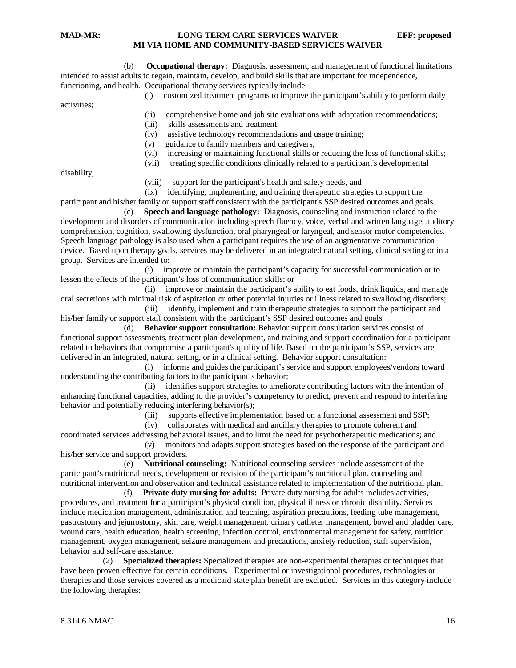(b) **Occupational therapy:** Diagnosis, assessment, and management of functional limitations intended to assist adults to regain, maintain, develop, and build skills that are important for independence, functioning, and health. Occupational therapy services typically include:

activities;

- (i) customized treatment programs to improve the participant's ability to perform daily
	- (ii) comprehensive home and job site evaluations with adaptation recommendations;
	- (iii) skills assessments and treatment;
	- (iv) assistive technology recommendations and usage training;
	- (v) guidance to family members and caregivers;
	- (vi) increasing or maintaining functional skills or reducing the loss of functional skills;
	- (vii) treating specific conditions clinically related to a participant's developmental

disability;

(viii) support for the participant's health and safety needs, and

 (ix) identifying, implementing, and training therapeutic strategies to support the participant and his/her family or support staff consistent with the participant's SSP desired outcomes and goals.

 (c) **Speech and language pathology:** Diagnosis, counseling and instruction related to the development and disorders of communication including speech fluency, voice, verbal and written language, auditory comprehension, cognition, swallowing dysfunction, oral pharyngeal or laryngeal, and sensor motor competencies. Speech language pathology is also used when a participant requires the use of an augmentative communication device. Based upon therapy goals, services may be delivered in an integrated natural setting, clinical setting or in a group. Services are intended to:

 (i) improve or maintain the participant's capacity for successful communication or to lessen the effects of the participant's loss of communication skills; or

 (ii) improve or maintain the participant's ability to eat foods, drink liquids, and manage oral secretions with minimal risk of aspiration or other potential injuries or illness related to swallowing disorders;

 (iii) identify, implement and train therapeutic strategies to support the participant and his/her family or support staff consistent with the participant's SSP desired outcomes and goals.

 (d) **Behavior support consultation:** Behavior support consultation services consist of functional support assessments, treatment plan development, and training and support coordination for a participant related to behaviors that compromise a participant's quality of life. Based on the participant's SSP, services are delivered in an integrated, natural setting, or in a clinical setting. Behavior support consultation:

 (i) informs and guides the participant's service and support employees/vendors toward understanding the contributing factors to the participant's behavior;

 (ii) identifies support strategies to ameliorate contributing factors with the intention of enhancing functional capacities, adding to the provider's competency to predict, prevent and respond to interfering behavior and potentially reducing interfering behavior(s);

(iii) supports effective implementation based on a functional assessment and SSP;

(iv) collaborates with medical and ancillary therapies to promote coherent and

coordinated services addressing behavioral issues, and to limit the need for psychotherapeutic medications; and (v) monitors and adapts support strategies based on the response of the participant and

his/her service and support providers.

 (e) **Nutritional counseling:** Nutritional counseling services include assessment of the participant's nutritional needs, development or revision of the participant's nutritional plan, counseling and nutritional intervention and observation and technical assistance related to implementation of the nutritional plan.

 (f) **Private duty nursing for adults:** Private duty nursing for adults includes activities, procedures, and treatment for a participant's physical condition, physical illness or chronic disability. Services include medication management, administration and teaching, aspiration precautions, feeding tube management, gastrostomy and jejunostomy, skin care, weight management, urinary catheter management, bowel and bladder care, wound care, health education, health screening, infection control, environmental management for safety, nutrition management, oxygen management, seizure management and precautions, anxiety reduction, staff supervision, behavior and self-care assistance.

 (2) **Specialized therapies:** Specialized therapies are non-experimental therapies or techniques that have been proven effective for certain conditions. Experimental or investigational procedures, technologies or therapies and those services covered as a medicaid state plan benefit are excluded. Services in this category include the following therapies: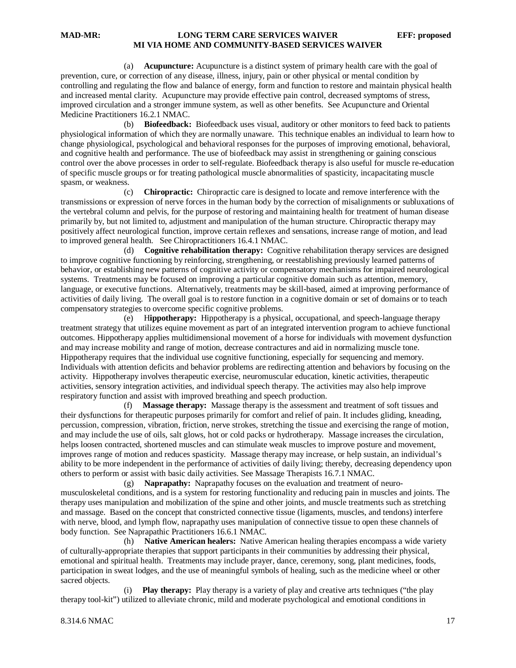(a) **Acupuncture:** Acupuncture is a distinct system of primary health care with the goal of prevention, cure, or correction of any disease, illness, injury, pain or other physical or mental condition by controlling and regulating the flow and balance of energy, form and function to restore and maintain physical health and increased mental clarity. Acupuncture may provide effective pain control, decreased symptoms of stress, improved circulation and a stronger immune system, as well as other benefits. See Acupuncture and Oriental Medicine Practitioners 16.2.1 NMAC.

 (b) **Biofeedback:** Biofeedback uses visual, auditory or other monitors to feed back to patients physiological information of which they are normally unaware. This technique enables an individual to learn how to change physiological, psychological and behavioral responses for the purposes of improving emotional, behavioral, and cognitive health and performance. The use of biofeedback may assist in strengthening or gaining conscious control over the above processes in order to self-regulate. Biofeedback therapy is also useful for muscle re-education of specific muscle groups or for treating pathological muscle abnormalities of spasticity, incapacitating muscle spasm, or weakness.

 (c) **Chiropractic:** Chiropractic care is designed to locate and remove interference with the transmissions or expression of nerve forces in the human body by the correction of misalignments or subluxations of the vertebral column and pelvis, for the purpose of restoring and maintaining health for treatment of human disease primarily by, but not limited to, adjustment and manipulation of the human structure. Chiropractic therapy may positively affect neurological function, improve certain reflexes and sensations, increase range of motion, and lead to improved general health. See Chiropractitioners 16.4.1 NMAC.

 (d) **Cognitive rehabilitation therapy:** Cognitive rehabilitation therapy services are designed to improve cognitive functioning by reinforcing, strengthening, or reestablishing previously learned patterns of behavior, or establishing new patterns of cognitive activity or compensatory mechanisms for impaired neurological systems. Treatments may be focused on improving a particular cognitive domain such as attention, memory, language, or executive functions. Alternatively, treatments may be skill-based, aimed at improving performance of activities of daily living. The overall goal is to restore function in a cognitive domain or set of domains or to teach compensatory strategies to overcome specific cognitive problems.

 (e) H**ippotherapy:** Hippotherapy is a physical, occupational, and speech-language therapy treatment strategy that utilizes equine movement as part of an integrated intervention program to achieve functional outcomes. Hippotherapy applies multidimensional movement of a horse for individuals with movement dysfunction and may increase mobility and range of motion, decrease contractures and aid in normalizing muscle tone. Hippotherapy requires that the individual use cognitive functioning, especially for sequencing and memory. Individuals with attention deficits and behavior problems are redirecting attention and behaviors by focusing on the activity. Hippotherapy involves therapeutic exercise, neuromuscular education, kinetic activities, therapeutic activities, sensory integration activities, and individual speech therapy. The activities may also help improve respiratory function and assist with improved breathing and speech production.

 (f) **Massage therapy:** Massage therapy is the assessment and treatment of soft tissues and their dysfunctions for therapeutic purposes primarily for comfort and relief of pain. It includes gliding, kneading, percussion, compression, vibration, friction, nerve strokes, stretching the tissue and exercising the range of motion, and may include the use of oils, salt glows, hot or cold packs or hydrotherapy. Massage increases the circulation, helps loosen contracted, shortened muscles and can stimulate weak muscles to improve posture and movement, improves range of motion and reduces spasticity. Massage therapy may increase, or help sustain, an individual's ability to be more independent in the performance of activities of daily living; thereby, decreasing dependency upon others to perform or assist with basic daily activities. See Massage Therapists 16.7.1 NMAC.

 (g) **Naprapathy:** Naprapathy focuses on the evaluation and treatment of neuromusculoskeletal conditions, and is a system for restoring functionality and reducing pain in muscles and joints. The therapy uses manipulation and mobilization of the spine and other joints, and muscle treatments such as stretching and massage. Based on the concept that constricted connective tissue (ligaments, muscles, and tendons) interfere with nerve, blood, and lymph flow, naprapathy uses manipulation of connective tissue to open these channels of body function. See Naprapathic Practitioners 16.6.1 NMAC.

 (h) **Native American healers:** Native American healing therapies encompass a wide variety of culturally-appropriate therapies that support participants in their communities by addressing their physical, emotional and spiritual health. Treatments may include prayer, dance, ceremony, song, plant medicines, foods, participation in sweat lodges, and the use of meaningful symbols of healing, such as the medicine wheel or other sacred objects.

**Play therapy:** Play therapy is a variety of play and creative arts techniques ("the play" therapy tool-kit") utilized to alleviate chronic, mild and moderate psychological and emotional conditions in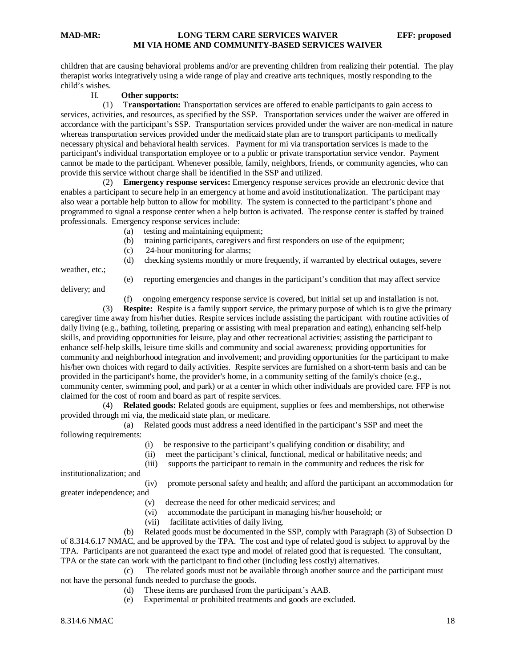children that are causing behavioral problems and/or are preventing children from realizing their potential. The play therapist works integratively using a wide range of play and creative arts techniques, mostly responding to the child's wishes.

#### H. **Other supports:**

 (1) T**ransportation:** Transportation services are offered to enable participants to gain access to services, activities, and resources, as specified by the SSP. Transportation services under the waiver are offered in accordance with the participant's SSP. Transportation services provided under the waiver are non-medical in nature whereas transportation services provided under the medicaid state plan are to transport participants to medically necessary physical and behavioral health services. Payment for mi via transportation services is made to the participant's individual transportation employee or to a public or private transportation service vendor. Payment cannot be made to the participant. Whenever possible, family, neighbors, friends, or community agencies, who can provide this service without charge shall be identified in the SSP and utilized.

 (2) **Emergency response services:** Emergency response services provide an electronic device that enables a participant to secure help in an emergency at home and avoid institutionalization. The participant may also wear a portable help button to allow for mobility. The system is connected to the participant's phone and programmed to signal a response center when a help button is activated. The response center is staffed by trained professionals. Emergency response services include:

- (a) testing and maintaining equipment;
- (b) training participants, caregivers and first responders on use of the equipment;
- (c) 24-hour monitoring for alarms;

#### (d) checking systems monthly or more frequently, if warranted by electrical outages, severe weather, etc.;

- (e) reporting emergencies and changes in the participant's condition that may affect service
- delivery; and
- (f) ongoing emergency response service is covered, but initial set up and installation is not.

 (3) **Respite:** Respite is a family support service, the primary purpose of which is to give the primary caregiver time away from his/her duties. Respite services include assisting the participant with routine activities of daily living (e.g., bathing, toileting, preparing or assisting with meal preparation and eating), enhancing self-help skills, and providing opportunities for leisure, play and other recreational activities; assisting the participant to enhance self-help skills, leisure time skills and community and social awareness; providing opportunities for community and neighborhood integration and involvement; and providing opportunities for the participant to make his/her own choices with regard to daily activities. Respite services are furnished on a short-term basis and can be provided in the participant's home, the provider's home, in a community setting of the family's choice (e.g., community center, swimming pool, and park) or at a center in which other individuals are provided care. FFP is not claimed for the cost of room and board as part of respite services.

 (4) **Related goods:** Related goods are equipment, supplies or fees and memberships, not otherwise provided through mi via, the medicaid state plan, or medicare.

 (a) Related goods must address a need identified in the participant's SSP and meet the following requirements:

- (i) be responsive to the participant's qualifying condition or disability; and
- (ii) meet the participant's clinical, functional, medical or habilitative needs; and
- (iii) supports the participant to remain in the community and reduces the risk for
- institutionalization; and

greater independence; and

(iv) promote personal safety and health; and afford the participant an accommodation for

- (v) decrease the need for other medicaid services; and
- (vi) accommodate the participant in managing his/her household; or
- (vii) facilitate activities of daily living.

Related goods must be documented in the SSP, comply with Paragraph (3) of Subsection D of 8.314.6.17 NMAC, and be approved by the TPA. The cost and type of related good is subject to approval by the TPA. Participants are not guaranteed the exact type and model of related good that is requested. The consultant, TPA or the state can work with the participant to find other (including less costly) alternatives.

 (c) The related goods must not be available through another source and the participant must not have the personal funds needed to purchase the goods.

- (d) These items are purchased from the participant's AAB.
- (e) Experimental or prohibited treatments and goods are excluded.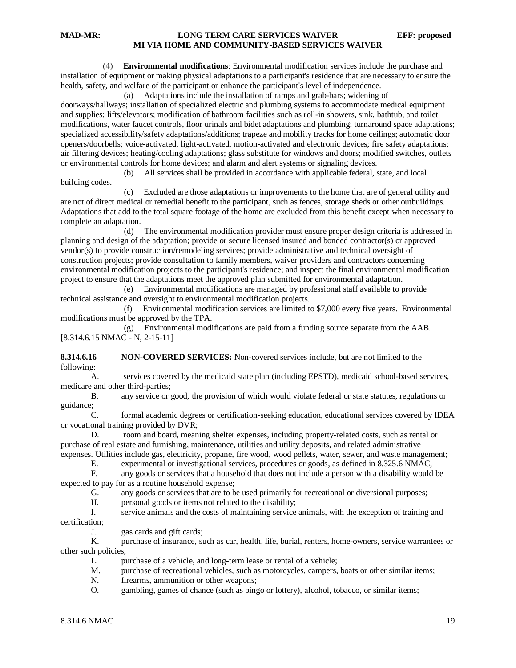(4) **Environmental modifications**: Environmental modification services include the purchase and installation of equipment or making physical adaptations to a participant's residence that are necessary to ensure the health, safety, and welfare of the participant or enhance the participant's level of independence.

 (a) Adaptations include the installation of ramps and grab-bars; widening of doorways/hallways; installation of specialized electric and plumbing systems to accommodate medical equipment and supplies; lifts/elevators; modification of bathroom facilities such as roll-in showers, sink, bathtub, and toilet modifications, water faucet controls, floor urinals and bidet adaptations and plumbing; turnaround space adaptations; specialized accessibility/safety adaptations/additions; trapeze and mobility tracks for home ceilings; automatic door openers/doorbells; voice-activated, light-activated, motion-activated and electronic devices; fire safety adaptations; air filtering devices; heating/cooling adaptations; glass substitute for windows and doors; modified switches, outlets or environmental controls for home devices; and alarm and alert systems or signaling devices.

 (b) All services shall be provided in accordance with applicable federal, state, and local building codes.

 (c) Excluded are those adaptations or improvements to the home that are of general utility and are not of direct medical or remedial benefit to the participant, such as fences, storage sheds or other outbuildings. Adaptations that add to the total square footage of the home are excluded from this benefit except when necessary to complete an adaptation.

 (d) The environmental modification provider must ensure proper design criteria is addressed in planning and design of the adaptation; provide or secure licensed insured and bonded contractor(s) or approved vendor(s) to provide construction/remodeling services; provide administrative and technical oversight of construction projects; provide consultation to family members, waiver providers and contractors concerning environmental modification projects to the participant's residence; and inspect the final environmental modification project to ensure that the adaptations meet the approved plan submitted for environmental adaptation.

 (e) Environmental modifications are managed by professional staff available to provide technical assistance and oversight to environmental modification projects.

 (f) Environmental modification services are limited to \$7,000 every five years. Environmental modifications must be approved by the TPA.

 (g) Environmental modifications are paid from a funding source separate from the AAB. [8.314.6.15 NMAC - N, 2-15-11]

**8.314.6.16 NON-COVERED SERVICES:** Non-covered services include, but are not limited to the following:

A. services covered by the medicaid state plan (including EPSTD), medicaid school-based services, medicare and other third-parties;

B. any service or good, the provision of which would violate federal or state statutes, regulations or guidance;

C. formal academic degrees or certification-seeking education, educational services covered by IDEA or vocational training provided by DVR;

D. room and board, meaning shelter expenses, including property-related costs, such as rental or purchase of real estate and furnishing, maintenance, utilities and utility deposits, and related administrative expenses. Utilities include gas, electricity, propane, fire wood, wood pellets, water, sewer, and waste management;

E. experimental or investigational services, procedures or goods, as defined in 8.325.6 NMAC,

F. any goods or services that a household that does not include a person with a disability would be expected to pay for as a routine household expense;

G. any goods or services that are to be used primarily for recreational or diversional purposes;

H. personal goods or items not related to the disability;

I. service animals and the costs of maintaining service animals, with the exception of training and certification;

J. gas cards and gift cards;

K. purchase of insurance, such as car, health, life, burial, renters, home-owners, service warrantees or other such policies;

L. purchase of a vehicle, and long-term lease or rental of a vehicle;<br>M. purchase of recreational vehicles, such as motorcycles, campers.

purchase of recreational vehicles, such as motorcycles, campers, boats or other similar items;

N. firearms, ammunition or other weapons;

O. gambling, games of chance (such as bingo or lottery), alcohol, tobacco, or similar items;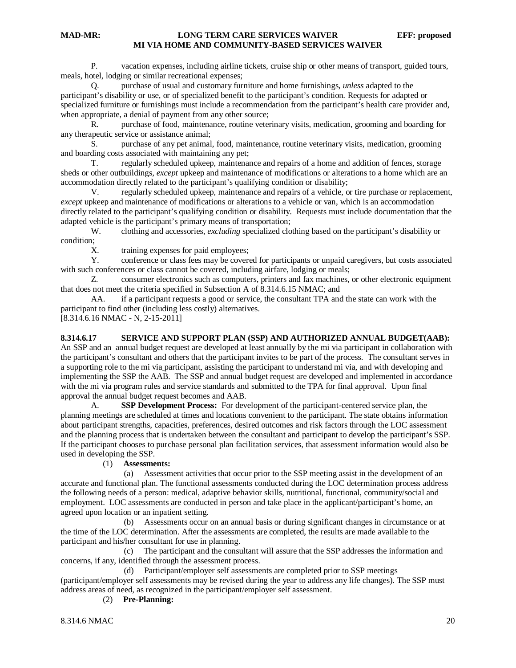P. vacation expenses, including airline tickets, cruise ship or other means of transport, guided tours, meals, hotel, lodging or similar recreational expenses;

Q. purchase of usual and customary furniture and home furnishings, *unless* adapted to the participant's disability or use, or of specialized benefit to the participant's condition. Requests for adapted or specialized furniture or furnishings must include a recommendation from the participant's health care provider and, when appropriate, a denial of payment from any other source;

R. purchase of food, maintenance, routine veterinary visits, medication, grooming and boarding for any therapeutic service or assistance animal;

S. purchase of any pet animal, food, maintenance, routine veterinary visits, medication, grooming and boarding costs associated with maintaining any pet;

T. regularly scheduled upkeep, maintenance and repairs of a home and addition of fences, storage sheds or other outbuildings, *except* upkeep and maintenance of modifications or alterations to a home which are an accommodation directly related to the participant's qualifying condition or disability;

V. regularly scheduled upkeep, maintenance and repairs of a vehicle, or tire purchase or replacement, *except* upkeep and maintenance of modifications or alterations to a vehicle or van, which is an accommodation directly related to the participant's qualifying condition or disability. Requests must include documentation that the adapted vehicle is the participant's primary means of transportation;

W. clothing and accessories, *excluding* specialized clothing based on the participant's disability or condition;<br>X.

training expenses for paid employees;

Y. conference or class fees may be covered for participants or unpaid caregivers, but costs associated with such conferences or class cannot be covered, including airfare, lodging or meals;<br>Z. consumer electronics such as computers, printers and fax machines.

consumer electronics such as computers, printers and fax machines, or other electronic equipment that does not meet the criteria specified in Subsection A of 8.314.6.15 NMAC; and

AA. if a participant requests a good or service, the consultant TPA and the state can work with the participant to find other (including less costly) alternatives.

[8.314.6.16 NMAC - N, 2-15-2011]

#### **8.314.6.17 SERVICE AND SUPPORT PLAN (SSP) AND AUTHORIZED ANNUAL BUDGET(AAB):**

An SSP and an annual budget request are developed at least annually by the mi via participant in collaboration with the participant's consultant and others that the participant invites to be part of the process. The consultant serves in a supporting role to the mi via participant, assisting the participant to understand mi via, and with developing and implementing the SSP the AAB. The SSP and annual budget request are developed and implemented in accordance with the mi via program rules and service standards and submitted to the TPA for final approval. Upon final approval the annual budget request becomes and AAB.

A. **SSP Development Process:** For development of the participant-centered service plan, the planning meetings are scheduled at times and locations convenient to the participant. The state obtains information about participant strengths, capacities, preferences, desired outcomes and risk factors through the LOC assessment and the planning process that is undertaken between the consultant and participant to develop the participant's SSP. If the participant chooses to purchase personal plan facilitation services, that assessment information would also be used in developing the SSP.

#### (1) **Assessments:**

 (a) Assessment activities that occur prior to the SSP meeting assist in the development of an accurate and functional plan. The functional assessments conducted during the LOC determination process address the following needs of a person: medical, adaptive behavior skills, nutritional, functional, community/social and employment. LOC assessments are conducted in person and take place in the applicant/participant's home, an agreed upon location or an inpatient setting.

 (b) Assessments occur on an annual basis or during significant changes in circumstance or at the time of the LOC determination. After the assessments are completed, the results are made available to the participant and his/her consultant for use in planning.

 (c) The participant and the consultant will assure that the SSP addresses the information and concerns, if any, identified through the assessment process.

(d) Participant/employer self assessments are completed prior to SSP meetings

(participant/employer self assessments may be revised during the year to address any life changes). The SSP must address areas of need, as recognized in the participant/employer self assessment.

(2) **Pre-Planning:**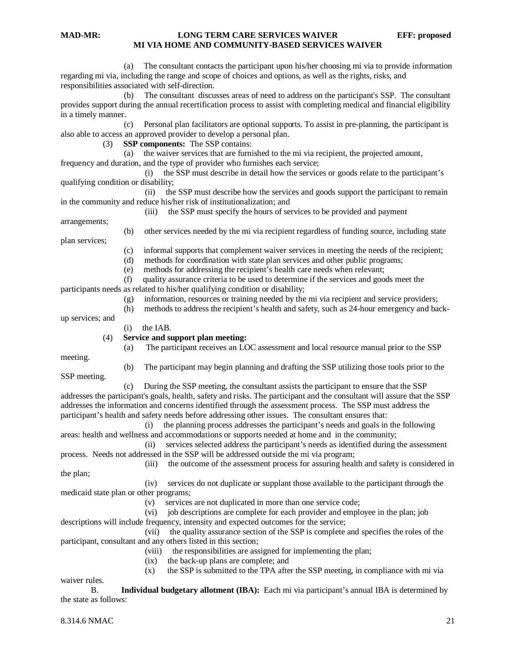(a) The consultant contacts the participant upon his/her choosing mi via to provide information regarding mi via, including the range and scope of choices and options, as well as the rights, risks, and responsibilities associated with self-direction.

 (b) The consultant discusses areas of need to address on the participant's SSP. The consultant provides support during the annual recertification process to assist with completing medical and financial eligibility in a timely manner.

 (c) Personal plan facilitators are optional supports. To assist in pre-planning, the participant is also able to access an approved provider to develop a personal plan.

(3) **SSP components:** The SSP contains:

(a) the waiver services that are furnished to the mi via recipient, the projected amount,

frequency and duration, and the type of provider who furnishes each service;

 (i) the SSP must describe in detail how the services or goods relate to the participant's qualifying condition or disability;

 (ii) the SSP must describe how the services and goods support the participant to remain in the community and reduce his/her risk of institutionalization; and

(iii) the SSP must specify the hours of services to be provided and payment

arrangements;

plan services;

(c) informal supports that complement waiver services in meeting the needs of the recipient;

(b) other services needed by the mi via recipient regardless of funding source, including state

(d) methods for coordination with state plan services and other public programs;

(e) methods for addressing the recipient's health care needs when relevant;

(f) quality assurance criteria to be used to determine if the services and goods meet the

- participants needs as related to his/her qualifying condition or disability;
	- (g) information, resources or training needed by the mi via recipient and service providers;
	- (h) methods to address the recipient's health and safety, such as 24-hour emergency and back-
- up services; and
	- (i) the IAB.

#### (4) **Service and support plan meeting:**

meeting.

the plan;

(b) The participant may begin planning and drafting the SSP utilizing those tools prior to the

(a) The participant receives an LOC assessment and local resource manual prior to the SSP

SSP meeting.

 (c) During the SSP meeting, the consultant assists the participant to ensure that the SSP addresses the participant's goals, health, safety and risks. The participant and the consultant will assure that the SSP addresses the information and concerns identified through the assessment process. The SSP must address the participant's health and safety needs before addressing other issues. The consultant ensures that:

 (i) the planning process addresses the participant's needs and goals in the following areas: health and wellness and accommodations or supports needed at home and in the community;

 (ii) services selected address the participant's needs as identified during the assessment process. Needs not addressed in the SSP will be addressed outside the mi via program;

(iii) the outcome of the assessment process for assuring health and safety is considered in

 (iv) services do not duplicate or supplant those available to the participant through the medicaid state plan or other programs;

(v) services are not duplicated in more than one service code;

 (vi) job descriptions are complete for each provider and employee in the plan; job descriptions will include frequency, intensity and expected outcomes for the service;

 (vii) the quality assurance section of the SSP is complete and specifies the roles of the participant, consultant and any others listed in this section;

- (viii) the responsibilities are assigned for implementing the plan;
- (ix) the back-up plans are complete; and
- (x) the SSP is submitted to the TPA after the SSP meeting, in compliance with mi via

waiver rules.

B. **Individual budgetary allotment (IBA):** Each mi via participant's annual IBA is determined by the state as follows: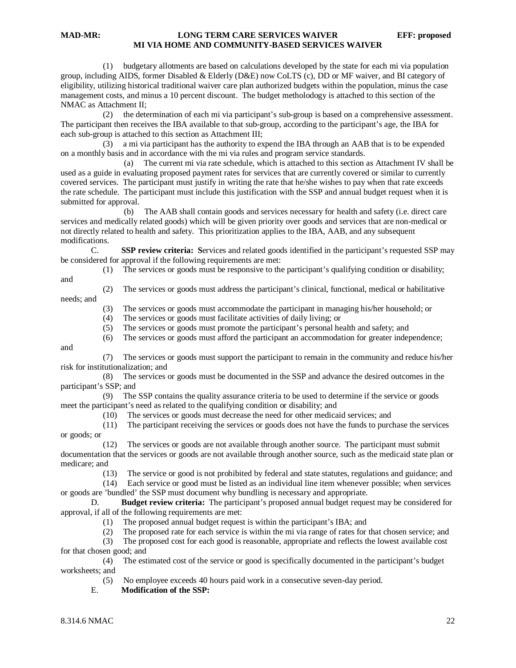(1) budgetary allotments are based on calculations developed by the state for each mi via population group, including AIDS, former Disabled & Elderly (D&E) now CoLTS (c), DD or MF waiver, and BI category of eligibility, utilizing historical traditional waiver care plan authorized budgets within the population, minus the case management costs, and minus a 10 percent discount. The budget metholodogy is attached to this section of the NMAC as Attachment II;

 (2) the determination of each mi via participant's sub-group is based on a comprehensive assessment. The participant then receives the IBA available to that sub-group, according to the participant's age, the IBA for each sub-group is attached to this section as Attachment III;

 (3) a mi via participant has the authority to expend the IBA through an AAB that is to be expended on a monthly basis and in accordance with the mi via rules and program service standards.

The current mi via rate schedule, which is attached to this section as Attachment IV shall be used as a guide in evaluating proposed payment rates for services that are currently covered or similar to currently covered services. The participant must justify in writing the rate that he/she wishes to pay when that rate exceeds the rate schedule. The participant must include this justification with the SSP and annual budget request when it is submitted for approval.

 (b) The AAB shall contain goods and services necessary for health and safety (i.e. direct care services and medically related goods) which will be given priority over goods and services that are non-medical or not directly related to health and safety. This prioritization applies to the IBA, AAB, and any subsequent modifications.

C. **SSP review criteria: S**ervices and related goods identified in the participant's requested SSP may be considered for approval if the following requirements are met:

(1) The services or goods must be responsive to the participant's qualifying condition or disability;

and

- needs; and
- (2) The services or goods must address the participant's clinical, functional, medical or habilitative
- (3) The services or goods must accommodate the participant in managing his/her household; or
- (4) The services or goods must facilitate activities of daily living; or
- (5) The services or goods must promote the participant's personal health and safety; and
- (6) The services or goods must afford the participant an accommodation for greater independence;

and

 (7) The services or goods must support the participant to remain in the community and reduce his/her risk for institutionalization; and

 (8) The services or goods must be documented in the SSP and advance the desired outcomes in the participant's SSP; and

 (9) The SSP contains the quality assurance criteria to be used to determine if the service or goods meet the participant's need as related to the qualifying condition or disability; and

(10) The services or goods must decrease the need for other medicaid services; and

 (11) The participant receiving the services or goods does not have the funds to purchase the services or goods; or

 (12) The services or goods are not available through another source. The participant must submit documentation that the services or goods are not available through another source, such as the medicaid state plan or medicare; and

(13) The service or good is not prohibited by federal and state statutes, regulations and guidance; and

(14) Each service or good must be listed as an individual line item whenever possible; when services

or goods are 'bundled' the SSP must document why bundling is necessary and appropriate.

D. **Budget review criteria:** The participant's proposed annual budget request may be considered for approval, if all of the following requirements are met:

- (1) The proposed annual budget request is within the participant's IBA; and
- (2) The proposed rate for each service is within the mi via range of rates for that chosen service; and

(3) The proposed cost for each good is reasonable, appropriate and reflects the lowest available cost

for that chosen good; and

 (4) The estimated cost of the service or good is specifically documented in the participant's budget worksheets; and

- (5) No employee exceeds 40 hours paid work in a consecutive seven-day period.
- E. **Modification of the SSP:**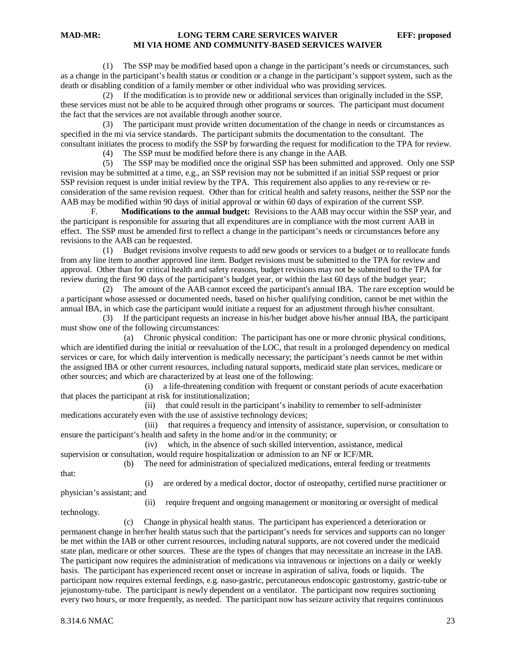(1) The SSP may be modified based upon a change in the participant's needs or circumstances, such as a change in the participant's health status or condition or a change in the participant's support system, such as the death or disabling condition of a family member or other individual who was providing services.

 (2) If the modification is to provide new or additional services than originally included in the SSP, these services must not be able to be acquired through other programs or sources. The participant must document the fact that the services are not available through another source.

 (3) The participant must provide written documentation of the change in needs or circumstances as specified in the mi via service standards. The participant submits the documentation to the consultant. The consultant initiates the process to modify the SSP by forwarding the request for modification to the TPA for review.

(4) The SSP must be modified before there is any change in the AAB.

 (5) The SSP may be modified once the original SSP has been submitted and approved. Only one SSP revision may be submitted at a time, e.g., an SSP revision may not be submitted if an initial SSP request or prior SSP revision request is under initial review by the TPA. This requirement also applies to any re-review or reconsideration of the same revision request. Other than for critical health and safety reasons, neither the SSP nor the AAB may be modified within 90 days of initial approval or within 60 days of expiration of the current SSP.

F. **Modifications to the annual budget:** Revisions to the AAB may occur within the SSP year, and the participant is responsible for assuring that all expenditures are in compliance with the most current AAB in effect. The SSP must be amended first to reflect a change in the participant's needs or circumstances before any revisions to the AAB can be requested.

 (1) Budget revisions involve requests to add new goods or services to a budget or to reallocate funds from any line item to another approved line item. Budget revisions must be submitted to the TPA for review and approval. Other than for critical health and safety reasons, budget revisions may not be submitted to the TPA for review during the first 90 days of the participant's budget year, or within the last 60 days of the budget year;

 (2) The amount of the AAB cannot exceed the participant's annual IBA. The rare exception would be a participant whose assessed or documented needs, based on his/her qualifying condition, cannot be met within the annual IBA, in which case the participant would initiate a request for an adjustment through his/her consultant.

 (3) If the participant requests an increase in his/her budget above his/her annual IBA, the participant must show one of the following circumstances:

 (a) Chronic physical condition: The participant has one or more chronic physical conditions, which are identified during the initial or reevaluation of the LOC, that result in a prolonged dependency on medical services or care, for which daily intervention is medically necessary; the participant's needs cannot be met within the assigned IBA or other current resources, including natural supports, medicaid state plan services, medicare or other sources; and which are characterized by at least one of the following:

 (i) a life-threatening condition with frequent or constant periods of acute exacerbation that places the participant at risk for institutionalization;

 (ii) that could result in the participant's inability to remember to self-administer medications accurately even with the use of assistive technology devices;

 (iii) that requires a frequency and intensity of assistance, supervision, or consultation to ensure the participant's health and safety in the home and/or in the community; or

 (iv) which, in the absence of such skilled intervention, assistance, medical supervision or consultation, would require hospitalization or admission to an NF or ICF/MR.

(b) The need for administration of specialized medications, enteral feeding or treatments

that:

 (i) are ordered by a medical doctor, doctor of osteopathy, certified nurse practitioner or physician's assistant; and

technology.

(ii) require frequent and ongoing management or monitoring or oversight of medical

 (c) Change in physical health status. The participant has experienced a deterioration or permanent change in her/her health status such that the participant's needs for services and supports can no longer be met within the IAB or other current resources, including natural supports, are not covered under the medicaid state plan, medicare or other sources. These are the types of changes that may necessitate an increase in the IAB. The participant now requires the administration of medications via intravenous or injections on a daily or weekly basis. The participant has experienced recent onset or increase in aspiration of saliva, foods or liquids. The participant now requires external feedings, e.g. naso-gastric, percutaneous endoscopic gastrostomy, gastric-tube or jejunostomy-tube. The participant is newly dependent on a ventilator. The participant now requires suctioning every two hours, or more frequently, as needed. The participant now has seizure activity that requires continuous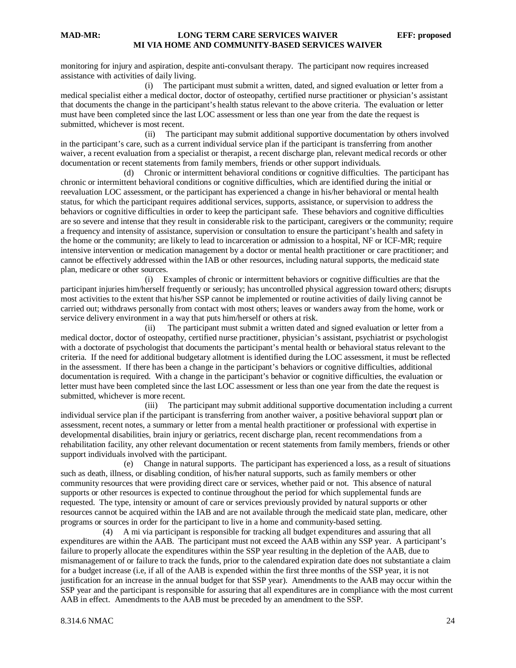monitoring for injury and aspiration, despite anti-convulsant therapy. The participant now requires increased assistance with activities of daily living.

 (i) The participant must submit a written, dated, and signed evaluation or letter from a medical specialist either a medical doctor, doctor of osteopathy, certified nurse practitioner or physician's assistant that documents the change in the participant's health status relevant to the above criteria. The evaluation or letter must have been completed since the last LOC assessment or less than one year from the date the request is submitted, whichever is most recent.

 (ii) The participant may submit additional supportive documentation by others involved in the participant's care, such as a current individual service plan if the participant is transferring from another waiver, a recent evaluation from a specialist or therapist, a recent discharge plan, relevant medical records or other documentation or recent statements from family members, friends or other support individuals.

 (d) Chronic or intermittent behavioral conditions or cognitive difficulties. The participant has chronic or intermittent behavioral conditions or cognitive difficulties, which are identified during the initial or reevaluation LOC assessment, or the participant has experienced a change in his/her behavioral or mental health status, for which the participant requires additional services, supports, assistance, or supervision to address the behaviors or cognitive difficulties in order to keep the participant safe. These behaviors and cognitive difficulties are so severe and intense that they result in considerable risk to the participant, caregivers or the community; require a frequency and intensity of assistance, supervision or consultation to ensure the participant's health and safety in the home or the community; are likely to lead to incarceration or admission to a hospital, NF or ICF-MR; require intensive intervention or medication management by a doctor or mental health practitioner or care practitioner; and cannot be effectively addressed within the IAB or other resources, including natural supports, the medicaid state plan, medicare or other sources.

 (i) Examples of chronic or intermittent behaviors or cognitive difficulties are that the participant injuries him/herself frequently or seriously; has uncontrolled physical aggression toward others; disrupts most activities to the extent that his/her SSP cannot be implemented or routine activities of daily living cannot be carried out; withdraws personally from contact with most others; leaves or wanders away from the home, work or service delivery environment in a way that puts him/herself or others at risk.

 (ii) The participant must submit a written dated and signed evaluation or letter from a medical doctor, doctor of osteopathy, certified nurse practitioner, physician's assistant, psychiatrist or psychologist with a doctorate of psychologist that documents the participant's mental health or behavioral status relevant to the criteria. If the need for additional budgetary allotment is identified during the LOC assessment, it must be reflected in the assessment. If there has been a change in the participant's behaviors or cognitive difficulties, additional documentation is required. With a change in the participant's behavior or cognitive difficulties, the evaluation or letter must have been completed since the last LOC assessment or less than one year from the date the request is submitted, whichever is more recent.

 (iii) The participant may submit additional supportive documentation including a current individual service plan if the participant is transferring from another waiver, a positive behavioral support plan or assessment, recent notes, a summary or letter from a mental health practitioner or professional with expertise in developmental disabilities, brain injury or geriatrics, recent discharge plan, recent recommendations from a rehabilitation facility, any other relevant documentation or recent statements from family members, friends or other support individuals involved with the participant.

 (e) Change in natural supports. The participant has experienced a loss, as a result of situations such as death, illness, or disabling condition, of his/her natural supports, such as family members or other community resources that were providing direct care or services, whether paid or not. This absence of natural supports or other resources is expected to continue throughout the period for which supplemental funds are requested. The type, intensity or amount of care or services previously provided by natural supports or other resources cannot be acquired within the IAB and are not available through the medicaid state plan, medicare, other programs or sources in order for the participant to live in a home and community-based setting.

 (4) A mi via participant is responsible for tracking all budget expenditures and assuring that all expenditures are within the AAB. The participant must not exceed the AAB within any SSP year. A participant's failure to properly allocate the expenditures within the SSP year resulting in the depletion of the AAB, due to mismanagement of or failure to track the funds, prior to the calendared expiration date does not substantiate a claim for a budget increase (i.e, if all of the AAB is expended within the first three months of the SSP year, it is not justification for an increase in the annual budget for that SSP year). Amendments to the AAB may occur within the SSP year and the participant is responsible for assuring that all expenditures are in compliance with the most current AAB in effect. Amendments to the AAB must be preceded by an amendment to the SSP.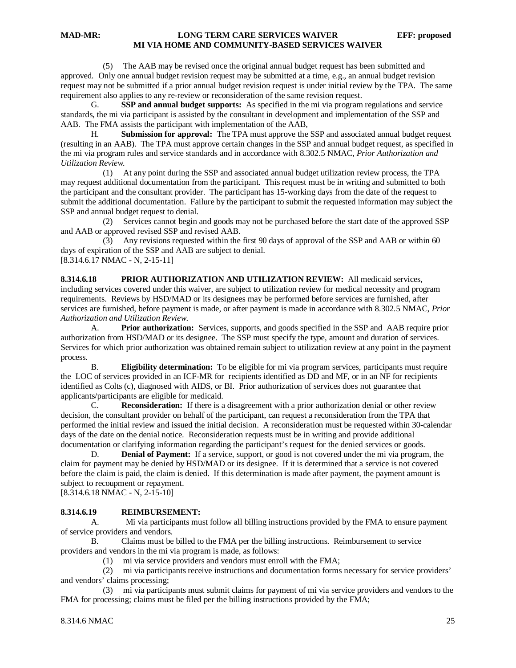(5) The AAB may be revised once the original annual budget request has been submitted and approved. Only one annual budget revision request may be submitted at a time, e.g., an annual budget revision request may not be submitted if a prior annual budget revision request is under initial review by the TPA. The same requirement also applies to any re-review or reconsideration of the same revision request.

**SSP and annual budget supports:** As specified in the mi via program regulations and service standards, the mi via participant is assisted by the consultant in development and implementation of the SSP and AAB. The FMA assists the participant with implementation of the AAB,

H. **Submission for approval:** The TPA must approve the SSP and associated annual budget request (resulting in an AAB). The TPA must approve certain changes in the SSP and annual budget request, as specified in the mi via program rules and service standards and in accordance with 8.302.5 NMAC, *Prior Authorization and Utilization Review.*

(1) At any point during the SSP and associated annual budget utilization review process, the TPA may request additional documentation from the participant. This request must be in writing and submitted to both the participant and the consultant provider. The participant has 15-working days from the date of the request to submit the additional documentation. Failure by the participant to submit the requested information may subject the SSP and annual budget request to denial.

 (2) Services cannot begin and goods may not be purchased before the start date of the approved SSP and AAB or approved revised SSP and revised AAB.

 (3) Any revisions requested within the first 90 days of approval of the SSP and AAB or within 60 days of expiration of the SSP and AAB are subject to denial.

[8.314.6.17 NMAC - N, 2-15-11]

**8.314.6.18 PRIOR AUTHORIZATION AND UTILIZATION REVIEW:** All medicaid services, including services covered under this waiver, are subject to utilization review for medical necessity and program requirements. Reviews by HSD/MAD or its designees may be performed before services are furnished, after services are furnished, before payment is made, or after payment is made in accordance with 8.302.5 NMAC, *Prior Authorization and Utilization Review*.

A. **Prior authorization:** Services, supports, and goods specified in the SSP and AAB require prior authorization from HSD/MAD or its designee. The SSP must specify the type, amount and duration of services. Services for which prior authorization was obtained remain subject to utilization review at any point in the payment process.

B. **Eligibility determination:** To be eligible for mi via program services, participants must require the LOC of services provided in an ICF-MR for recipients identified as DD and MF, or in an NF for recipients identified as Colts (c), diagnosed with AIDS, or BI. Prior authorization of services does not guarantee that applicants/participants are eligible for medicaid.

C. **Reconsideration:** If there is a disagreement with a prior authorization denial or other review decision, the consultant provider on behalf of the participant, can request a reconsideration from the TPA that performed the initial review and issued the initial decision. A reconsideration must be requested within 30-calendar days of the date on the denial notice. Reconsideration requests must be in writing and provide additional documentation or clarifying information regarding the participant's request for the denied services or goods.

D. **Denial of Payment:** If a service, support, or good is not covered under the mi via program, the claim for payment may be denied by HSD/MAD or its designee. If it is determined that a service is not covered before the claim is paid, the claim is denied. If this determination is made after payment, the payment amount is subject to recoupment or repayment.

[8.314.6.18 NMAC - N, 2-15-10]

#### **8.314.6.19 REIMBURSEMENT:**

A. Mi via participants must follow all billing instructions provided by the FMA to ensure payment of service providers and vendors.

B. Claims must be billed to the FMA per the billing instructions. Reimbursement to service providers and vendors in the mi via program is made, as follows:

(1) mi via service providers and vendors must enroll with the FMA;

 (2) mi via participants receive instructions and documentation forms necessary for service providers' and vendors' claims processing;

 (3) mi via participants must submit claims for payment of mi via service providers and vendors to the FMA for processing; claims must be filed per the billing instructions provided by the FMA;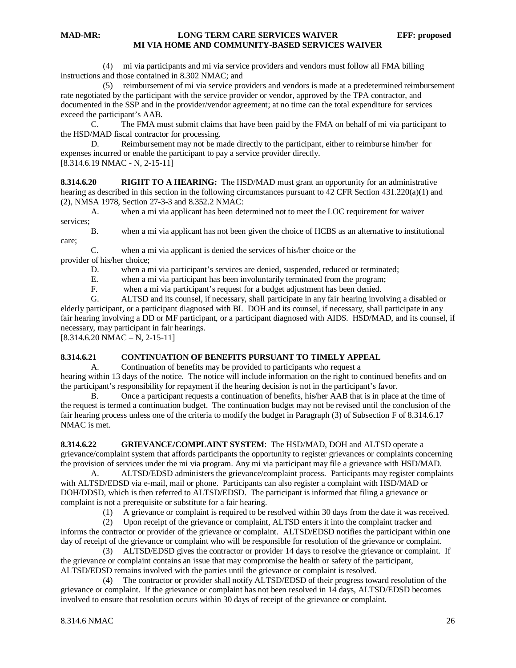(4) mi via participants and mi via service providers and vendors must follow all FMA billing instructions and those contained in 8.302 NMAC; and

 (5) reimbursement of mi via service providers and vendors is made at a predetermined reimbursement rate negotiated by the participant with the service provider or vendor, approved by the TPA contractor, and documented in the SSP and in the provider/vendor agreement; at no time can the total expenditure for services exceed the participant's AAB.

C. The FMA must submit claims that have been paid by the FMA on behalf of mi via participant to the HSD/MAD fiscal contractor for processing.

D. Reimbursement may not be made directly to the participant, either to reimburse him/her for expenses incurred or enable the participant to pay a service provider directly. [8.314.6.19 NMAC - N, 2-15-11]

**8.314.6.20 RIGHT TO A HEARING:** The HSD/MAD must grant an opportunity for an administrative hearing as described in this section in the following circumstances pursuant to 42 CFR Section 431.220(a)(1) and (2), NMSA 1978, Section 27-3-3 and 8.352.2 NMAC:

A. when a mi via applicant has been determined not to meet the LOC requirement for waiver services;

B. when a mi via applicant has not been given the choice of HCBS as an alternative to institutional care;

C. when a mi via applicant is denied the services of his/her choice or the

provider of his/her choice;

D. when a mi via participant's services are denied, suspended, reduced or terminated;

E. when a mi via participant has been involuntarily terminated from the program;<br>F. when a mi via participant's request for a budget adjustment has been denied.

when a mi via participant's request for a budget adjustment has been denied.

G. ALTSD and its counsel, if necessary, shall participate in any fair hearing involving a disabled or elderly participant, or a participant diagnosed with BI. DOH and its counsel, if necessary, shall participate in any fair hearing involving a DD or MF participant, or a participant diagnosed with AIDS. HSD/MAD, and its counsel, if necessary, may participant in fair hearings.

 $[8.314.6.20 NMAC - N, 2-15-11]$ 

### **8.314.6.21 CONTINUATION OF BENEFITS PURSUANT TO TIMELY APPEAL**

A. Continuation of benefits may be provided to participants who request a

hearing within 13 days of the notice. The notice will include information on the right to continued benefits and on the participant's responsibility for repayment if the hearing decision is not in the participant's favor.

B. Once a participant requests a continuation of benefits, his/her AAB that is in place at the time of the request is termed a continuation budget. The continuation budget may not be revised until the conclusion of the fair hearing process unless one of the criteria to modify the budget in Paragraph (3) of Subsection F of 8.314.6.17 NMAC is met.

**8.314.6.22 GRIEVANCE/COMPLAINT SYSTEM**:The HSD/MAD, DOH and ALTSD operate a grievance/complaint system that affords participants the opportunity to register grievances or complaints concerning the provision of services under the mi via program. Any mi via participant may file a grievance with HSD/MAD.

A. ALTSD/EDSD administers the grievance/complaint process. Participants may register complaints with ALTSD/EDSD via e-mail, mail or phone. Participants can also register a complaint with HSD/MAD or DOH/DDSD, which is then referred to ALTSD/EDSD. The participant is informed that filing a grievance or complaint is not a prerequisite or substitute for a fair hearing.

(1) A grievance or complaint is required to be resolved within 30 days from the date it was received.<br>(2) Upon receipt of the grievance or complaint, ALTSD enters it into the complaint tracker and

Upon receipt of the grievance or complaint, ALTSD enters it into the complaint tracker and informs the contractor or provider of the grievance or complaint. ALTSD/EDSD notifies the participant within one day of receipt of the grievance or complaint who will be responsible for resolution of the grievance or complaint.

 (3) ALTSD/EDSD gives the contractor or provider 14 days to resolve the grievance or complaint. If the grievance or complaint contains an issue that may compromise the health or safety of the participant, ALTSD/EDSD remains involved with the parties until the grievance or complaint is resolved.

 (4) The contractor or provider shall notify ALTSD/EDSD of their progress toward resolution of the grievance or complaint. If the grievance or complaint has not been resolved in 14 days, ALTSD/EDSD becomes involved to ensure that resolution occurs within 30 days of receipt of the grievance or complaint.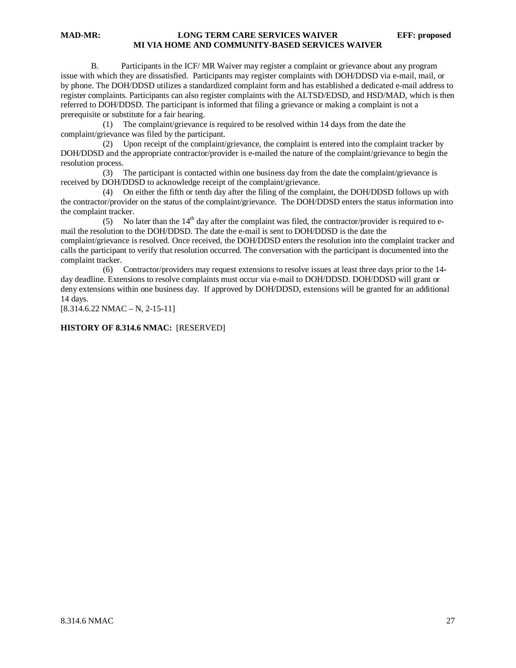B. Participants in the ICF/ MR Waiver may register a complaint or grievance about any program issue with which they are dissatisfied. Participants may register complaints with DOH/DDSD via e-mail, mail, or by phone. The DOH/DDSD utilizes a standardized complaint form and has established a dedicated e-mail address to register complaints. Participants can also register complaints with the ALTSD/EDSD, and HSD/MAD, which is then referred to DOH/DDSD. The participant is informed that filing a grievance or making a complaint is not a prerequisite or substitute for a fair hearing.

 (1) The complaint/grievance is required to be resolved within 14 days from the date the complaint/grievance was filed by the participant.

 (2) Upon receipt of the complaint/grievance, the complaint is entered into the complaint tracker by DOH/DDSD and the appropriate contractor/provider is e-mailed the nature of the complaint/grievance to begin the resolution process.

 (3) The participant is contacted within one business day from the date the complaint/grievance is received by DOH/DDSD to acknowledge receipt of the complaint/grievance.

 (4) On either the fifth or tenth day after the filing of the complaint, the DOH/DDSD follows up with the contractor/provider on the status of the complaint/grievance. The DOH/DDSD enters the status information into the complaint tracker.

(5) No later than the  $14<sup>th</sup>$  day after the complaint was filed, the contractor/provider is required to email the resolution to the DOH/DDSD. The date the e-mail is sent to DOH/DDSD is the date the complaint/grievance is resolved. Once received, the DOH/DDSD enters the resolution into the complaint tracker and calls the participant to verify that resolution occurred. The conversation with the participant is documented into the complaint tracker.

 (6) Contractor/providers may request extensions to resolve issues at least three days prior to the 14 day deadline. Extensions to resolve complaints must occur via e-mail to DOH/DDSD. DOH/DDSD will grant or deny extensions within one business day. If approved by DOH/DDSD, extensions will be granted for an additional 14 days.

 $[8.314.6.22 NMAC - N, 2-15-11]$ 

#### **HISTORY OF 8.314.6 NMAC:** [RESERVED]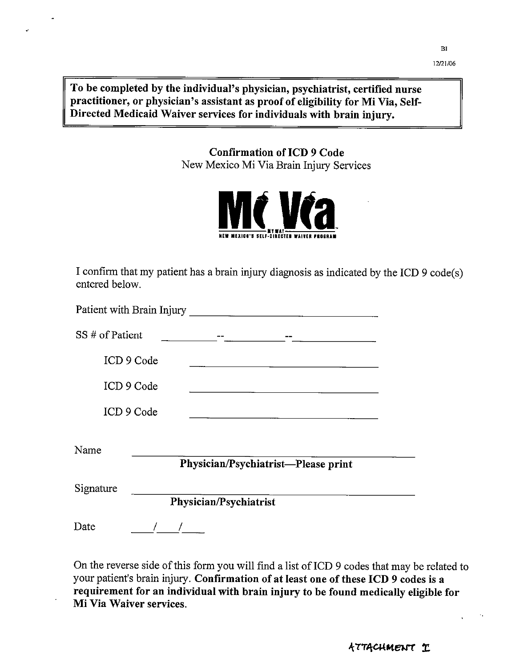To be completed by the individual's physician, psychiatrist, certified nurse practitioner, or physician's assistant as proof of eligibility for Mi Via, Self-Directed Medicaid Waiver services for individuals with brain injury.

> **Confirmation of ICD 9 Code** New Mexico Mi Via Brain Injury Services



I confirm that my patient has a brain injury diagnosis as indicated by the ICD 9 code(s) entered below.

| SS # of Patient | and the company of the company of the company of the company of the company of the company of the company of the                                                                                                                 |
|-----------------|----------------------------------------------------------------------------------------------------------------------------------------------------------------------------------------------------------------------------------|
| ICD 9 Code      |                                                                                                                                                                                                                                  |
| ICD 9 Code      | and the control of the control of the control of the control of the control of the control of the control of the<br>The control of the control of the control of the control of the control of the control of the control of the |
| ICD 9 Code      |                                                                                                                                                                                                                                  |
| Name            | Physician/Psychiatrist-Please print                                                                                                                                                                                              |
| Signature       | Physician/Psychiatrist                                                                                                                                                                                                           |
| Date            |                                                                                                                                                                                                                                  |

On the reverse side of this form you will find a list of ICD 9 codes that may be related to your patient's brain injury. Confirmation of at least one of these ICD 9 codes is a requirement for an individual with brain injury to be found medically eligible for Mi Via Waiver services.

ATTACHMENT I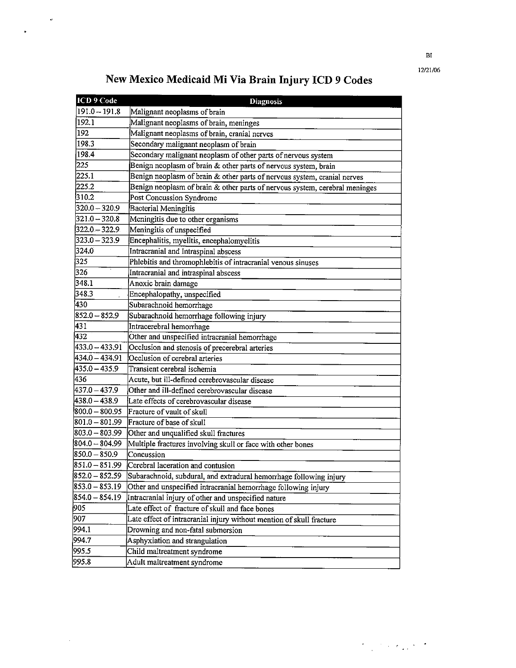# New Mexico Medicaid Mi Via Brain Injury ICD 9 Codes

 $\omega$ 

 $\hat{\boldsymbol{\beta}}$ 

 $\bullet$ 

| ICD 9 Code         | <b>Diagnosis</b>                                                            |  |  |  |
|--------------------|-----------------------------------------------------------------------------|--|--|--|
| $191.0 - 191.8$    | Malignant neoplasms of brain                                                |  |  |  |
| 192.1              | Malignant neoplasms of brain, meninges                                      |  |  |  |
| 192                | Malignant neoplasms of brain, cranial nerves                                |  |  |  |
| 198.3              | Secondary malignant neoplasm of brain                                       |  |  |  |
| 198.4              | Secondary malignant neoplasm of other parts of nervous system               |  |  |  |
| 225                | Benign neoplasm of brain & other parts of nervous system, brain             |  |  |  |
| 225.1              | Benign neoplasm of brain & other parts of nervous system, cranial nerves    |  |  |  |
| 225.2              | Benign neoplasm of brain & other parts of nervous system, cerebral meninges |  |  |  |
| 310.2              | Post Concussion Syndrome                                                    |  |  |  |
| $320.0 - 320.9$    | Bacterial Meningitis                                                        |  |  |  |
| $321.0 - 320.8$    | Meningitis due to other organisms                                           |  |  |  |
| 322.0 - 322.9      | Meningitis of unspecified                                                   |  |  |  |
| $323.0 - 323.9$    | Encephalitis, myelitis, encephalomyelitis                                   |  |  |  |
| 324.0              | Intracranial and Intraspinal abscess                                        |  |  |  |
| 325                | Phlebitis and thromophlebitis of intracranial venous sinuses                |  |  |  |
| 326                | Intracranial and intraspinal abscess                                        |  |  |  |
| 348.1              | Anoxic brain damage                                                         |  |  |  |
| 348.3              | Encephalopathy, unspecified                                                 |  |  |  |
| 430                | Subarachnoid hemorrhage                                                     |  |  |  |
| $852.0 - 852.9$    | Subarachnoid hemorrhage following injury                                    |  |  |  |
| 431                | Intracerebral hemorrhage                                                    |  |  |  |
| 432                | Other and unspecified intracranial hemorrhage                               |  |  |  |
| 433.0 - 433.91     | Occlusion and stenosis of precerebral arteries                              |  |  |  |
| 434.0 - 434.91     | Occlusion of cerebral arteries                                              |  |  |  |
| 435.0 - 435.9      | Transient cerebral ischemia                                                 |  |  |  |
| 436                | Acute, but ill-defined cerebrovascular disease                              |  |  |  |
| 437.0 - 437.9      | Other and ill-defined cerebrovascular disease                               |  |  |  |
| 438.0 - 438.9      | Late effects of cerebrovascular disease                                     |  |  |  |
| 800.0 - 800.95     | Fracture of vault of skull                                                  |  |  |  |
| $ 801.0 - 801.99$  | Fracture of base of skull                                                   |  |  |  |
| $ 803.0 - 803.99 $ | Other and unqualified skull fractures                                       |  |  |  |
| 804.0 – 804.99     | Multiple fractures involving skull or face with other bones                 |  |  |  |
| 850.0 - 850.9      | Concussion                                                                  |  |  |  |
| $ 851.0 - 851.99$  | Cerebral laceration and contusion                                           |  |  |  |
| 852.0 – 852.59     | Subarachnoid, subdural, and extradural hemorrhage following injury          |  |  |  |
| $ 853.0 - 853.19$  | Other and unspecified intracranial hemorrhage following injury              |  |  |  |
| $854.0 - 854.19$   | Intracranial injury of other and unspecified nature                         |  |  |  |
| 905                | Late effect of fracture of skull and face bones                             |  |  |  |
| 907                | Late effect of intracranial injury without mention of skull fracture        |  |  |  |
| 994.1              | Drowning and non-fatal submersion                                           |  |  |  |
| 994.7              | Asphyxiation and strangulation                                              |  |  |  |
| 995.5              | Child maltreatment syndrome                                                 |  |  |  |
| 995.8              | Adult maltreatment syndrome                                                 |  |  |  |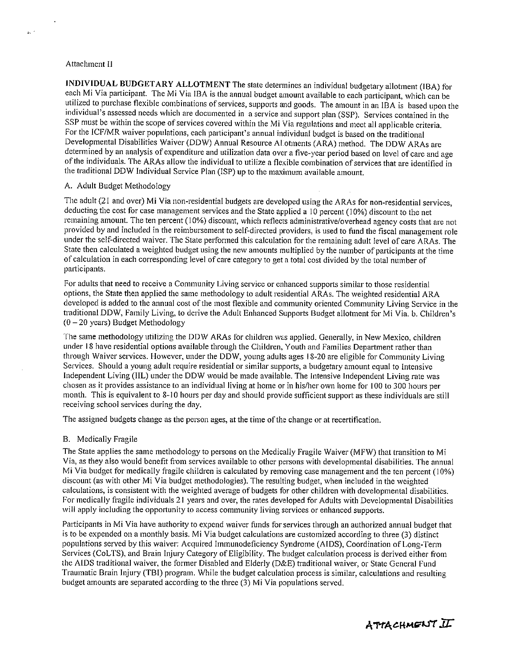#### Attachment II

 $\mu_{\rm e}^{-1}$ 

INDIVIDUAL BUDGETARY ALLOTMENT The state determines an individual budgetary allotment (IBA) for each Mi Via participant. The Mi Via IBA is the annual budget amount available to each participant, which can be utilized to purchase flexible combinations of services, supports and goods. The amount in an IBA is based upon the individual's assessed needs which are documented in a service and support plan (SSP). Services contained in the SSP must be within the scope of services covered within the Mi Via regulations and meet all applicable criteria. For the ICF/MR waiver populations, each participant's annual individual budget is based on the traditional Developmental Disabilities Waiver (DDW) Annual Resource Allotments (ARA) method. The DDW ARAs are determined by an analysis of expenditure and utilization data over a five-year period based on level of care and age of the individuals. The ARAs allow the individual to utilize a flexible combination of services that are identified in the traditional DDW Individual Service Plan (ISP) up to the maximum available amount.

#### A. Adult Budget Methodology

The adult (21 and over) Mi Via non-residential budgets are developed using the ARAs for non-residential services, deducting the cost for case management services and the State applied a 10 percent (10%) discount to the net remaining amount. The ten percent (10%) discount, which reflects administrative/overhead agency costs that are not provided by and included in the reimbursement to self-directed providers, is used to fund the fiscal management role under the self-directed waiver. The State performed this calculation for the remaining adult level of care ARAs. The State then calculated a weighted budget using the new amounts multiplied by the number of participants at the time of calculation in each corresponding level of care category to get a total cost divided by the total number of participants.

For adults that need to receive a Community Living service or enhanced supports similar to those residential options, the State then applied the same methodology to adult residential ARAs. The weighted residential ARA developed is added to the annual cost of the most flexible and community oriented Community Living Service in the traditional DDW, Family Living, to derive the Adult Enhanced Supports Budget allotment for Mi Via. b. Children's  $(0 - 20$  years) Budget Methodology

The same methodology utilizing the DDW ARAs for children was applied. Generally, in New Mexico, children under 18 have residential options available through the Children, Youth and Families Department rather than through Waiver services. However, under the DDW, young adults ages 18-20 are eligible for Community Living Services. Should a young adult require residential or similar supports, a budgetary amount equal to Intensive Independent Living (IIL) under the DDW would be made available. The Intensive Independent Living rate was chosen as it provides assistance to an individual living at home or in his/her own home for 100 to 300 hours per month. This is equivalent to 8-10 hours per day and should provide sufficient support as these individuals are still receiving school services during the day.

The assigned budgets change as the person ages, at the time of the change or at recertification.

#### B. Medically Fragile

The State applies the same methodology to persons on the Medically Fragile Waiver (MFW) that transition to Mi Via, as they also would benefit from services available to other persons with developmental disabilities. The annual Mi Via budget for medically fragile children is calculated by removing case management and the ten percent (10%) discount (as with other Mi Via budget methodologies). The resulting budget, when included in the weighted calculations, is consistent with the weighted average of budgets for other children with developmental disabilities. For medically fragile individuals 21 years and over, the rates developed for Adults with Developmental Disabilities will apply including the opportunity to access community living services or enhanced supports.

Participants in Mi Via have authority to expend waiver funds for services through an authorized annual budget that is to be expended on a monthly basis. Mi Via budget calculations are customized according to three (3) distinct populations served by this waiver: Acquired Immunodeficiency Syndrome (AIDS), Coordination of Long-Term Services (CoLTS), and Brain Injury Category of Eligibility. The budget calculation process is derived either from the AIDS traditional waiver, the former Disabled and Elderly (D&E) traditional waiver, or State General Fund Traumatic Brain Injury (TBI) program. While the budget calculation process is similar, calculations and resulting budget amounts are separated according to the three (3) Mi Via populations served.

ATTACHMENT II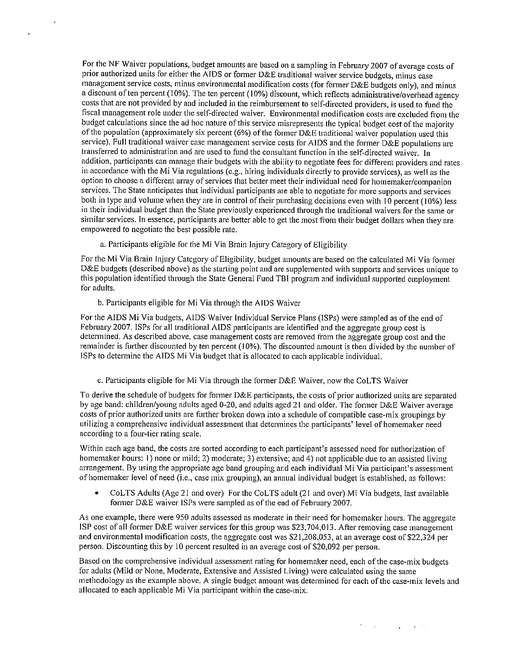For the NF Waiver populations, budget amounts are based on a sampling in February 2007 of average costs of prior authorized units for either the AIDS or former D&E traditional waiver service budgets, minus case management service costs, minus environmental modification costs (for former D&E budgets only), and minus a discount of ten percent (10%). The ten percent (10%) discount, which reflects administrative/overhead agency costs that are not provided by and included in the reimbursement to self-directed providers, is used to fund the fiscal management role under the self-directed waiver. Environmental modification costs are excluded from the budget calculations since the ad hoc nature of this service misrepresents the typical budget cost of the majority of the population (approximately six percent (6%) of the former D&E traditional waiver population used this service). Full traditional waiver case management service costs for AIDS and the former D&E populations are transferred to administration and are used to fund the consultant function in the self-directed waiver. In addition, participants can manage their budgets with the ability to negotiate fees for different providers and rates in accordance with the Mi Via regulations (e.g., hiring individuals directly to provide services), as well as the option to choose a different array of services that better meet their individual need for homemaker/companion services. The State anticipates that individual participants are able to negotiate for more supports and services both in type and volume when they are in control of their purchasing decisions even with 10 percent (10%) less in their individual budget than the State previously experienced through the traditional waivers for the same or similar services. In essence, participants are better able to get the most from their budget dollars when they are empowered to negotiate the best possible rate.

a. Participants eligible for the Mi Via Brain Injury Category of Eligibility

For the Mi Via Brain Injury Category of Eligibility, budget amounts are based on the calculated Mi Via former D&E budgets (described above) as the starting point and are supplemented with supports and services unique to this population identified through the State General Fund TBI program and individual supported employment for adults.

b. Participants eligible for Mi Via through the AIDS Waiver

 $\ddot{\phantom{0}}$ 

For the AIDS Mi Via budgets, AIDS Waiver Individual Service Plans (ISPs) were sampled as of the end of February 2007. ISPs for all traditional AIDS participants are identified and the aggregate group cost is determined. As described above, case management costs are removed from the aggregate group cost and the remainder is further discounted by ten percent (10%). The discounted amount is then divided by the number of ISPs to determine the AIDS Mi Via budget that is allocated to each applicable individual.

c. Participants eligible for Mi Via through the former D&E Waiver, now the CoLTS Waiver

To derive the schedule of budgets for former D&E participants, the costs of prior authorized units are separated by age band: children/young adults aged 0-20, and adults aged 21 and older. The former D&E Waiver average costs of prior authorized units are further broken down into a schedule of compatible case-mix groupings by utilizing a comprehensive individual assessment that determines the participants' level of homemaker need according to a four-tier rating scale.

Within each age band, the costs are sorted according to each participant's assessed need for authorization of homemaker hours: 1) none or mild; 2) moderate; 3) extensive; and 4) not applicable due to an assisted living arrangement. By using the appropriate age band grouping and each individual Mi Via participant's assessment of homemaker level of need (i.e., case mix grouping), an annual individual budget is established, as follows:

CoLTS Adults (Age 21 and over) For the CoLTS adult (21 and over) Mi Via budgets, last available former D&E waiver ISPs were sampled as of the end of February 2007.

As one example, there were 950 adults assessed as moderate in their need for homemaker hours. The aggregate ISP cost of all former D&E waiver services for this group was \$23,704,013. After removing case management and environmental modification costs, the aggregate cost was \$21,208,053, at an average cost of \$22,324 per person. Discounting this by 10 percent resulted in an average cost of \$20,092 per person.

Based on the comprehensive individual assessment rating for homemaker need, each of the case-mix budgets for adults (Mild or None, Moderate, Extensive and Assisted Living) were calculated using the same methodology as the example above. A single budget amount was determined for each of the case-mix levels and allocated to each applicable Mi Via participant within the case-mix.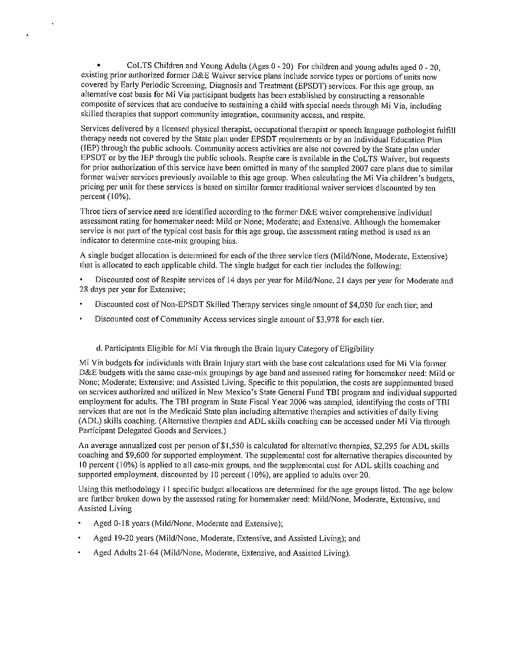CoLTS Children and Young Adults (Ages 0 - 20) For children and young adults aged 0 - 20, existing prior authorized former D&E Waiver service plans include service types or portions of units now covered by Early Periodic Screening, Diagnosis and Treatment (EPSDT) services. For this age group, an alternative cost basis for Mi Via participant budgets has been established by constructing a reasonable composite of services that are conducive to sustaining a child with special needs through Mi Via, including skilled therapies that support community integration, community access, and respite.

Services delivered by a licensed physical therapist, occupational therapist or speech language pathologist fulfill therapy needs not covered by the State plan under EPSDT requirements or by an Individual Education Plan (IEP) through the public schools. Community access activities are also not covered by the State plan under EPSDT or by the IEP through the public schools. Respite care is available in the CoLTS Waiver, but requests for prior authorization of this service have been omitted in many of the sampled 2007 care plans due to similar former waiver services previously available to this age group. When calculating the Mi Via children's budgets, pricing per unit for these services is based on similar former traditional waiver services discounted by ten percent (10%).

Three tiers of service need are identified according to the former D&E waiver comprehensive individual assessment rating for homemaker need: Mild or None; Moderate; and Extensive. Although the homemaker service is not part of the typical cost basis for this age group, the assessment rating method is used as an indicator to determine case-mix grouping bias.

A single budget allocation is determined for each of the three service tiers (Mild/None, Moderate, Extensive) that is allocated to each applicable child. The single budget for each tier includes the following:

Discounted cost of Respite services of 14 days per year for Mild/None, 21 days per year for Moderate and 28 days per year for Extensive;

- Discounted cost of Non-EPSDT Skilled Therapy services single amount of \$4,050 for each tier; and  $\bullet$
- . Discounted cost of Community Access services single amount of \$3,978 for each tier.

#### d. Participants Eligible for Mi Via through the Brain Injury Category of Eligibility

Mi Via budgets for individuals with Brain Injury start with the base cost calculations used for Mi Via former D&E budgets with the same case-mix groupings by age band and assessed rating for homemaker need: Mild or None; Moderate; Extensive; and Assisted Living, Specific to this population, the costs are supplemented based on services authorized and utilized in New Mexico's State General Fund TBI program and individual supported employment for adults. The TBI program in State Fiscal Year 2006 was sampled, identifying the costs of TBI services that are not in the Medicaid State plan including alternative therapies and activities of daily living (ADL) skills coaching. (Alternative therapies and ADL skills coaching can be accessed under Mi Via through Participant Delegated Goods and Services.)

An average annualized cost per person of \$1,550 is calculated for alternative therapies, \$2,295 for ADL skills coaching and \$9,600 for supported employment. The supplemental cost for alternative therapies discounted by 10 percent (10%) is applied to all case-mix groups, and the supplemental cost for ADL skills coaching and supported employment, discounted by 10 percent (10%), are applied to adults over 20.

Using this methodology 11 specific budget allocations are determined for the age groups listed. The age below are further broken down by the assessed rating for homemaker need: Mild/None, Moderate, Extensive, and **Assisted Living** 

- Aged 0-18 years (Mild/None, Moderate and Extensive);  $\bullet$
- Aged 19-20 years (Mild/None, Moderate, Extensive, and Assisted Living); and  $\ddot{\phantom{a}}$
- Aged Adults 21-64 (Mild/None, Moderate, Extensive, and Assisted Living).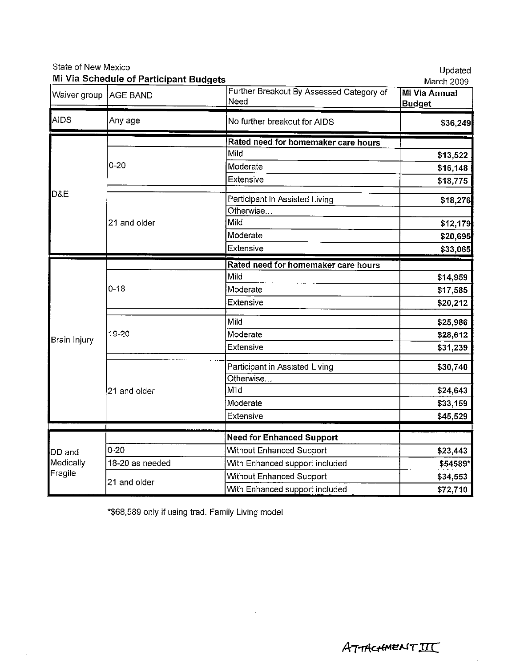| State of New Mexico   | Mi Via Schedule of Participant Budgets |                                                  | Updated<br>March 2009                 |
|-----------------------|----------------------------------------|--------------------------------------------------|---------------------------------------|
| Waiver group AGE BAND |                                        | Further Breakout By Assessed Category of<br>Need | <b>Mi Via Annual</b><br><b>Budget</b> |
| <b>AIDS</b>           | Any age                                | No further breakout for AIDS                     | \$36,249                              |
|                       |                                        | Rated need for homemaker care hours              |                                       |
|                       |                                        | Mild                                             | \$13,522                              |
|                       | $0 - 20$                               | Moderate                                         | \$16,148                              |
|                       |                                        | Extensive                                        | \$18,775                              |
| D&E                   |                                        | Participant in Assisted Living<br>Otherwise      | \$18,276                              |
|                       | 21 and older                           | Mild                                             | \$12,179                              |
|                       |                                        | Moderate                                         | \$20,695                              |
|                       |                                        | Extensive                                        | \$33,065                              |
|                       |                                        | Rated need for homemaker care hours              |                                       |
|                       | $0 - 18$                               | Mild                                             | \$14,959                              |
|                       |                                        | Moderate                                         | \$17,585                              |
|                       |                                        | Extensive                                        | \$20,212                              |
|                       | 19-20                                  | Mild                                             | \$25,986                              |
|                       |                                        | Moderate                                         | \$28,612                              |
| Brain Injury          |                                        | Extensive                                        | \$31,239                              |
|                       | 21 and older                           | Participant in Assisted Living                   | \$30,740                              |
|                       |                                        | Otherwise                                        |                                       |
|                       |                                        | Mild                                             | \$24,643                              |
|                       |                                        | Moderate                                         | \$33,159                              |
|                       |                                        | <b>Extensive</b>                                 | \$45,529                              |
|                       |                                        | <b>Need for Enhanced Support</b>                 |                                       |
| DD and                | $0 - 20$                               | Without Enhanced Support                         | \$23,443                              |
| Medically             | 18-20 as needed                        | With Enhanced support included                   | \$54589*                              |
| Fragile               |                                        | Without Enhanced Support                         | \$34,553                              |
|                       | 21 and older                           | With Enhanced support included                   | \$72,710                              |

 $\bar{z}$ 

\*\$68,589 only if using trad. Family Living model

 $\bar{\mathcal{A}}$ 

 $\sim$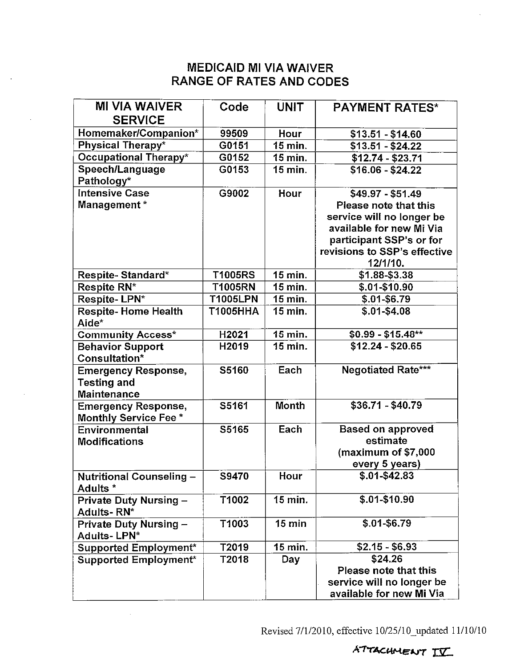# **MEDICAID MI VIA WAIVER RANGE OF RATES AND CODES**

 $\sim$ 

| <b>MI VIA WAIVER</b>                  | Code           | <b>UNIT</b>      | <b>PAYMENT RATES*</b>        |
|---------------------------------------|----------------|------------------|------------------------------|
| <b>SERVICE</b>                        |                |                  |                              |
| Homemaker/Companion*                  | 99509          | Hour             | $$13.51 - $14.60$            |
| Physical Therapy*                     | G0151          | 15 min.          | $$13.51 - $24.22$            |
| Occupational Therapy*                 | G0152          | 15 min.          | $$12.74 - $23.71$            |
| Speech/Language                       | G0153          | 15 min.          | $$16.06 - $24.22$            |
| Pathology*                            |                |                  |                              |
| <b>Intensive Case</b>                 | G9002          | Hour             | \$49.97 - \$51.49            |
| Management *                          |                |                  | Please note that this        |
|                                       |                |                  | service will no longer be    |
|                                       |                |                  | available for new Mi Via     |
|                                       |                |                  | participant SSP's or for     |
|                                       |                |                  | revisions to SSP's effective |
|                                       |                |                  | 12/1/10.                     |
| Respite-Standard*                     | T1005RS        | 15 min.          | \$1.88-\$3.38                |
| Respite RN*                           | <b>T1005RN</b> | 15 min.          | $$.01 - $10.90$              |
| Respite-LPN*                          | T1005LPN       | 15 min.          | $$.01 - $6.79$               |
| <b>Respite-Home Health</b>            | T1005HHA       | 15 min.          | $$.01 - $4.08$               |
| Aide*                                 |                |                  |                              |
| <b>Community Access*</b>              | H2021          | 15 min.          | $$0.99 - $15.48**$           |
| <b>Behavior Support</b>               | H2019          | 15 min.          | $$12.24 - $20.65$            |
| Consultation*                         |                |                  |                              |
| <b>Emergency Response,</b>            | S5160          | Each             | <b>Negotiated Rate***</b>    |
| <b>Testing and</b>                    |                |                  |                              |
| <b>Maintenance</b>                    |                |                  |                              |
| <b>Emergency Response,</b>            | S5161          | <b>Month</b>     | $$36.71 - $40.79$            |
| <b>Monthly Service Fee *</b>          |                |                  |                              |
| Environmental                         | S5165          | Each             | <b>Based on approved</b>     |
| <b>Modifications</b>                  |                |                  | estimate                     |
|                                       |                |                  | (maximum of \$7,000          |
|                                       |                |                  | every 5 years)               |
| <b>Nutritional Counseling -</b>       | S9470          | Hour             | $$.01 - $42.83$              |
| Adults *                              | T1002          | 15 min.          | $5.01 - $10.90$              |
| <b>Private Duty Nursing -</b>         |                |                  |                              |
| Adults-RN*                            | T1003          | $15 \text{ min}$ | $$.01 - $6.79$               |
| Private Duty Nursing -<br>Adults-LPN* |                |                  |                              |
| Supported Employment*                 | T2019          | 15 min.          | $$2.15 - $6.93$              |
| Supported Employment*                 | T2018          | Day              | \$24.26                      |
|                                       |                |                  | Please note that this        |
|                                       |                |                  | service will no longer be    |
|                                       |                |                  | available for new Mi Via     |
|                                       |                |                  |                              |

 $\sim$ 

Revised 7/1/2010, effective 10/25/10\_updated 11/10/10

ATTACHMENT IV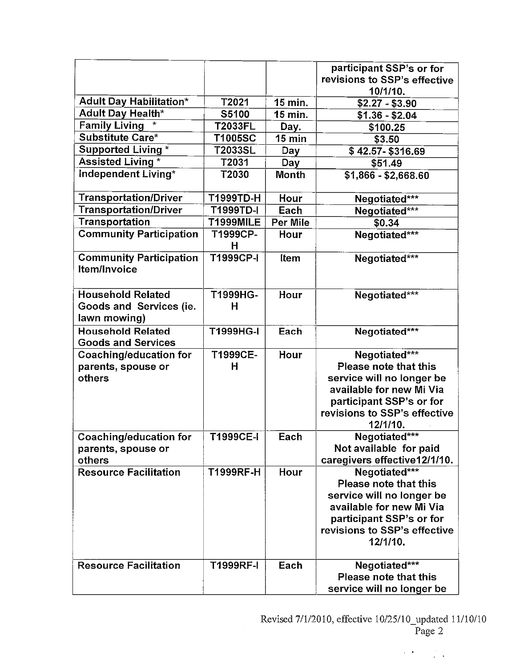|                                                                     |                  |                 | participant SSP's or for                                            |
|---------------------------------------------------------------------|------------------|-----------------|---------------------------------------------------------------------|
|                                                                     |                  |                 | revisions to SSP's effective                                        |
|                                                                     |                  |                 | 10/1/10.                                                            |
| <b>Adult Day Habilitation*</b>                                      | T2021            | 15 min.         | $$2.27 - $3.90$                                                     |
| Adult Day Health*                                                   | S5100            | 15 min.         | $$1.36 - $2.04$                                                     |
| <b>Family Living</b>                                                | <b>T2033FL</b>   | Day.            | \$100.25                                                            |
| Substitute Care*                                                    | T1005SC          | $15$ min        | \$3.50                                                              |
| <b>Supported Living *</b>                                           | T2033SL          | Day             | $$42.57 - $316.69$                                                  |
| <b>Assisted Living *</b>                                            | T2031            | Day             | \$51.49                                                             |
| Independent Living*                                                 | T2030            | <b>Month</b>    | $\overline{$1,866 - $2,668.60}$                                     |
| <b>Transportation/Driver</b>                                        | T1999TD-H        | Hour            | Negotiated***                                                       |
| <b>Transportation/Driver</b>                                        | T1999TD-I        | Each            | Negotiated***                                                       |
| <b>Transportation</b>                                               | <b>T1999MILE</b> | <b>Per Mile</b> | \$0.34                                                              |
| <b>Community Participation</b>                                      | T1999CP-<br>H    | Hour            | Negotiated***                                                       |
| <b>Community Participation</b><br>Item/Invoice                      | T1999CP-I        | Item            | Negotiated***                                                       |
| <b>Household Related</b><br>Goods and Services (ie.<br>lawn mowing) | T1999HG-<br>н    | Hour            | Negotiated***                                                       |
| <b>Household Related</b><br><b>Goods and Services</b>               | T1999HG-I        | Each            | Negotiated***                                                       |
| <b>Coaching/education for</b>                                       | T1999CE-         | Hour            | Negotiated***                                                       |
| parents, spouse or                                                  | н                |                 | Please note that this                                               |
| others                                                              |                  |                 | service will no longer be                                           |
|                                                                     |                  |                 | available for new Mi Via                                            |
|                                                                     |                  |                 | participant SSP's or for                                            |
|                                                                     |                  |                 | revisions to SSP's effective                                        |
|                                                                     |                  |                 | 12/1/10.                                                            |
| <b>Coaching/education for</b>                                       | T1999CE-I        | Each            | Negotiated***                                                       |
| parents, spouse or                                                  |                  |                 | Not available for paid                                              |
| others                                                              |                  |                 | caregivers effective12/1/10.                                        |
| <b>Resource Facilitation</b>                                        | T1999RF-H        | Hour            | Negotiated***                                                       |
|                                                                     |                  |                 | Please note that this                                               |
|                                                                     |                  |                 | service will no longer be                                           |
|                                                                     |                  |                 | available for new Mi Via                                            |
|                                                                     |                  |                 | participant SSP's or for<br>revisions to SSP's effective            |
|                                                                     |                  |                 | 12/1/10.                                                            |
|                                                                     |                  |                 |                                                                     |
|                                                                     |                  |                 |                                                                     |
|                                                                     |                  |                 |                                                                     |
| <b>Resource Facilitation</b>                                        | T1999RF-I        | Each            | Negotiated***<br>Please note that this<br>service will no longer be |

Revised 7/1/2010, effective 10/25/10\_updated 11/10/10<br>Page 2

 $\mathcal{L}(\mathcal{A})=\mathcal{L}(\mathcal{A})$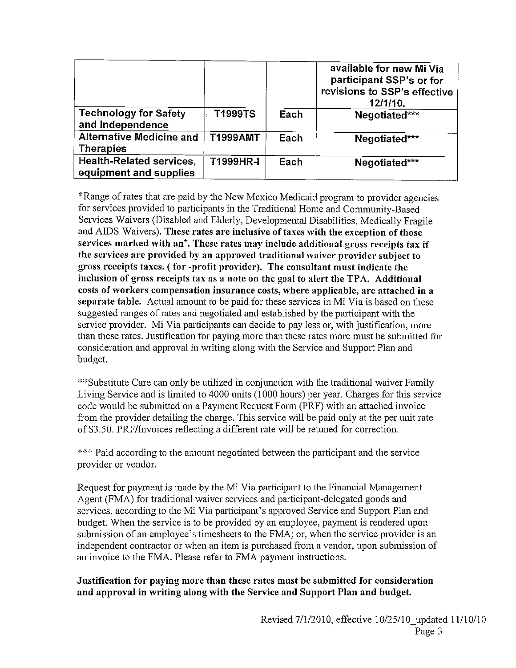|                                                     |                |      | available for new Mi Via<br>participant SSP's or for<br>revisions to SSP's effective<br>$12/1/10$ . |
|-----------------------------------------------------|----------------|------|-----------------------------------------------------------------------------------------------------|
| <b>Technology for Safety</b><br>and Independence    | <b>T1999TS</b> | Each | Negotiated***                                                                                       |
| <b>Alternative Medicine and</b><br><b>Therapies</b> | T1999AMT       | Each | Negotiated***                                                                                       |
| Health-Related services,<br>equipment and supplies  | T1999HR-I      | Each | Negotiated***                                                                                       |

\*Range of rates that are paid by the New Mexico Medicaid program to provider agencies for services provided to participants in the Traditional Home and Community-Based Services Waivers (Disabled and Elderly, Developmental Disabilities, Medically Fragile and AIDS Waivers). These rates are inclusive of taxes with the exception of those services marked with an\*. These rates may include additional gross receipts tax if the services are provided by an approved traditional waiver provider subject to gross receipts taxes. (for -profit provider). The consultant must indicate the inclusion of gross receipts tax as a note on the goal to alert the TPA. Additional costs of workers compensation insurance costs, where applicable, are attached in a separate table. Actual amount to be paid for these services in Mi Via is based on these suggested ranges of rates and negotiated and established by the participant with the service provider. Mi Via participants can decide to pay less or, with justification, more than these rates. Justification for paying more than these rates more must be submitted for consideration and approval in writing along with the Service and Support Plan and budget.

\*\*Substitute Care can only be utilized in conjunction with the traditional waiver Family Living Service and is limited to 4000 units (1000 hours) per year. Charges for this service code would be submitted on a Payment Request Form (PRF) with an attached invoice from the provider detailing the charge. This service will be paid only at the per unit rate of \$3.50. PRF/Invoices reflecting a different rate will be retuned for correction.

\*\*\* Paid according to the amount negotiated between the participant and the service provider or vendor.

Request for payment is made by the Mi Via participant to the Financial Management Agent (FMA) for traditional waiver services and participant-delegated goods and services, according to the Mi Via participant's approved Service and Support Plan and budget. When the service is to be provided by an employee, payment is rendered upon submission of an employee's timesheets to the FMA; or, when the service provider is an independent contractor or when an item is purchased from a vendor, upon submission of an invoice to the FMA. Please refer to FMA payment instructions.

## Justification for paying more than these rates must be submitted for consideration and approval in writing along with the Service and Support Plan and budget.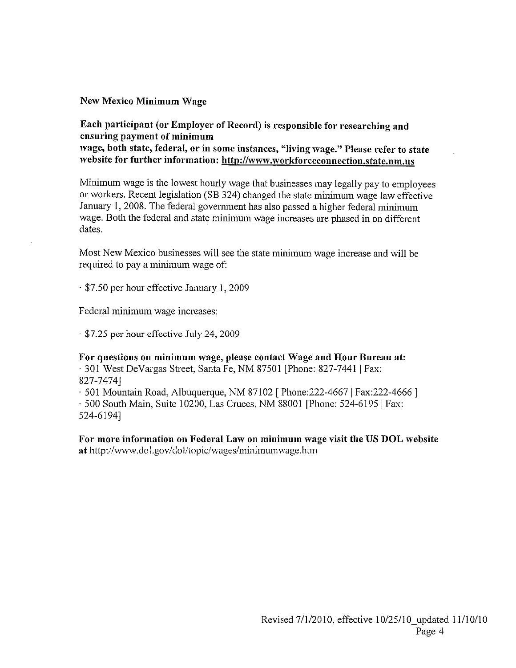## **New Mexico Minimum Wage**

## Each participant (or Employer of Record) is responsible for researching and ensuring payment of minimum wage, both state, federal, or in some instances, "living wage." Please refer to state website for further information: http://www.workforceconnection.state.nm.us

Minimum wage is the lowest hourly wage that businesses may legally pay to employees or workers. Recent legislation (SB 324) changed the state minimum wage law effective January 1, 2008. The federal government has also passed a higher federal minimum wage. Both the federal and state minimum wage increases are phased in on different dates.

Most New Mexico businesses will see the state minimum wage increase and will be required to pay a minimum wage of:

. \$7.50 per hour effective January 1, 2009

Federal minimum wage increases:

\$7.25 per hour effective July 24, 2009

## For questions on minimum wage, please contact Wage and Hour Bureau at:

· 301 West DeVargas Street, Santa Fe, NM 87501 [Phone: 827-7441 | Fax: 827-74741

 $\cdot$  501 Mountain Road, Albuquerque, NM 87102 [ Phone: 222-4667 | Fax: 222-4666 ]

· 500 South Main, Suite 10200, Las Cruces, NM 88001 [Phone: 524-6195 | Fax: 524-61941

For more information on Federal Law on minimum wage visit the US DOL website at http://www.dol.gov/dol/topic/wages/minimumwage.htm